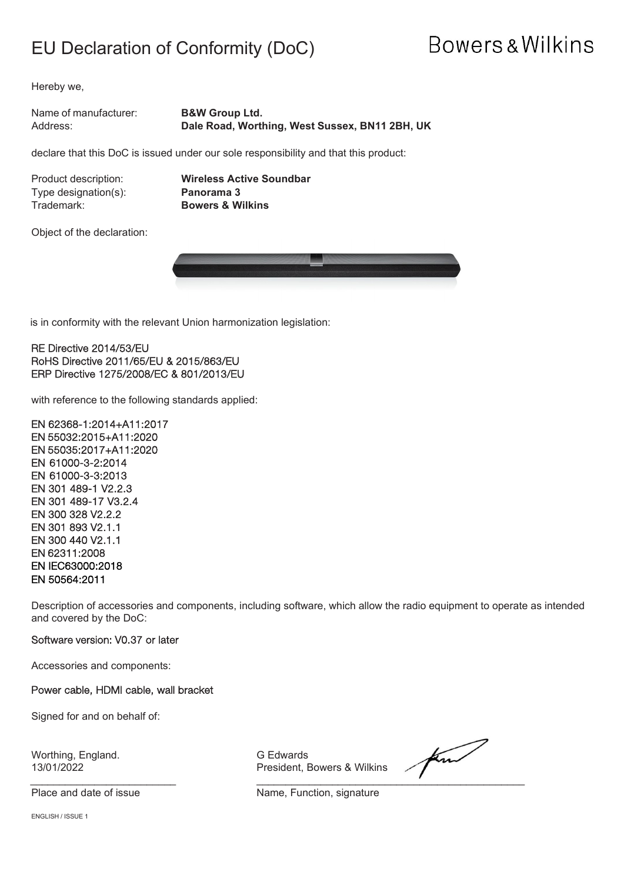### EU Declaration of Conformity (DoC)

## **Bowers & Wilkins**

Hereby we,

Name of manufacturer: **B&W Group Ltd.** Address: **Dale Road, Worthing, West Sussex, BN11 2BH, UK**

declare that this DoC is issued under our sole responsibility and that this product:

Type designation(s):<br>Trademark:

Product description: **Wireless Active Soundbar Bowers & Wilkins** 

Object of the declaration:



is in conformity with the relevant Union harmonization legislation:

RE Directive 2014/53/EU RoHS Directive 2011/65/EU & 2015/863/EU ERP Directive 1275/2008/EC & 801/2013/EU

with reference to the following standards applied:

EN 62368-1:2014+A11:2017 EN 55032:2015+A11:2020 EN 55035:2017+A11:2020 EN 61000-3-2:2014 EN 61000-3-3:2013 EN 301 489-1 V2.2.3 EN 301 489-17 V3.2.4 EN 300 328 V2.2.2 EN 301 893 V2.1.1 EN 300 440 V2.1.1 EN 62311:2008 EN IEC63000:2018 EN 50564:2011

Description of accessories and components, including software, which allow the radio equipment to operate as intended and covered by the DoC:

#### Software version: V0.37 or later

Accessories and components:

#### Power cable, HDMI cable, wall bracket

Signed for and on behalf of:

Worthing, England. G Edwards

13/01/2022 President, Bowers & Wilkins

find \_\_\_\_\_\_\_\_\_\_\_\_\_\_\_\_\_\_\_\_\_\_\_\_\_ \_\_\_\_\_\_\_\_\_\_\_\_\_\_\_\_\_\_\_\_\_\_\_\_\_\_\_\_\_\_\_\_\_\_\_\_\_\_\_\_\_\_\_\_\_\_

Place and date of issue Name, Function, signature

ENGLISH / ISSUE 1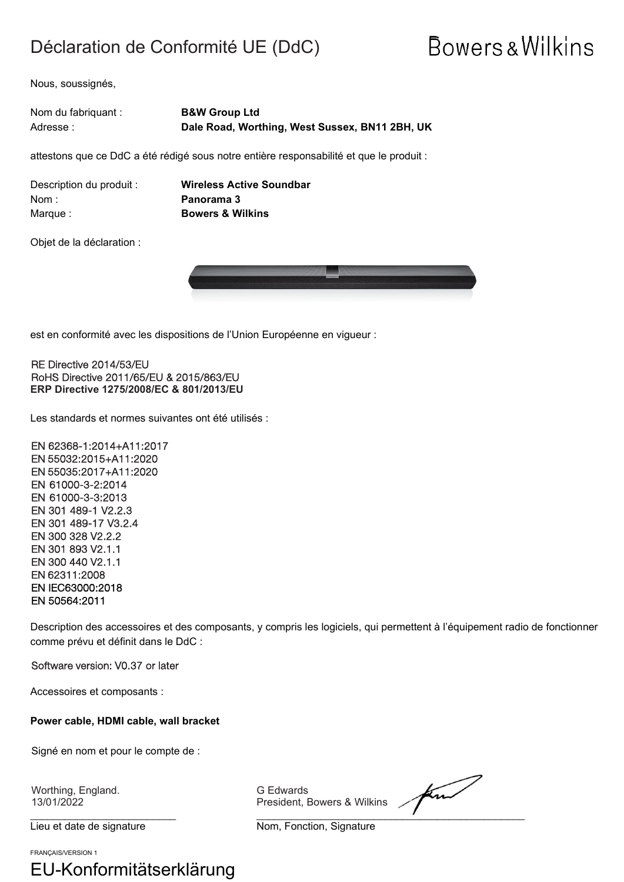### Déclaration de Conformité UE (DdC)

# **Bowers & Wilkins**

Nous, soussignés,

| Nom du fabriquant : | <b>B&amp;W Group Ltd</b>                       |
|---------------------|------------------------------------------------|
| Adresse :           | Dale Road, Worthing, West Sussex, BN11 2BH, UK |

attestons que ce DdC a été rédigé sous notre entière responsabilité et que le produit :

| Description du produit : |  |
|--------------------------|--|
| Nom :                    |  |
| Marque :                 |  |

**Wireless Active Soundbar** Panorama 3 **Bowers & Wilkins** 

Objet de la déclaration :



est en conformité avec les dispositions de l'Union Européenne en vigueur :

RE Directive 2014/53/EU RoHS Directive 2011/65/EU & 2015/863/EU **ERP Directive 1275/2008/EC & 801/2013/EU**

Les standards et normes suivantes ont été utilisés :

EN 62368-1:2014+A11:2017 EN 55032:2015+A11:2020 EN 55035:2017+A11:2020 EN 61000-3-2:2014 EN 61000-3-3:2013 EN 301 489-1 V2.2.3 EN 301 489-17 V3.2.4 EN 300 328 V2.2.2 EN 301 893 V2.1.1 EN 300 440 V2.1.1 EN 62311:2008 EN IEC63000:2018 EN 50564:2011

Description des accessoires et des composants, y compris les logiciels, qui permettent à l'équipement radio de fonctionner comme prévu et définit dans le DdC :

Software version: V0.37 or later

Accessoires et composants :

**Power cable, HDMI cable, wall bracket**

Signé en nom et pour le compte de :

Worthing, England. G Edwards

Lieu et date de signature Nom, Fonction, Signature

FRANÇAIS/VERSION 1

EU-Konformitätserklärung

President, Bowers & Wilkins

\_\_\_\_\_\_\_\_\_\_\_\_\_\_\_\_\_\_\_\_\_\_\_\_\_ \_\_\_\_\_\_\_\_\_\_\_\_\_\_\_\_\_\_\_\_\_\_\_\_\_\_\_\_\_\_\_\_\_\_\_\_\_\_\_\_\_\_\_\_\_\_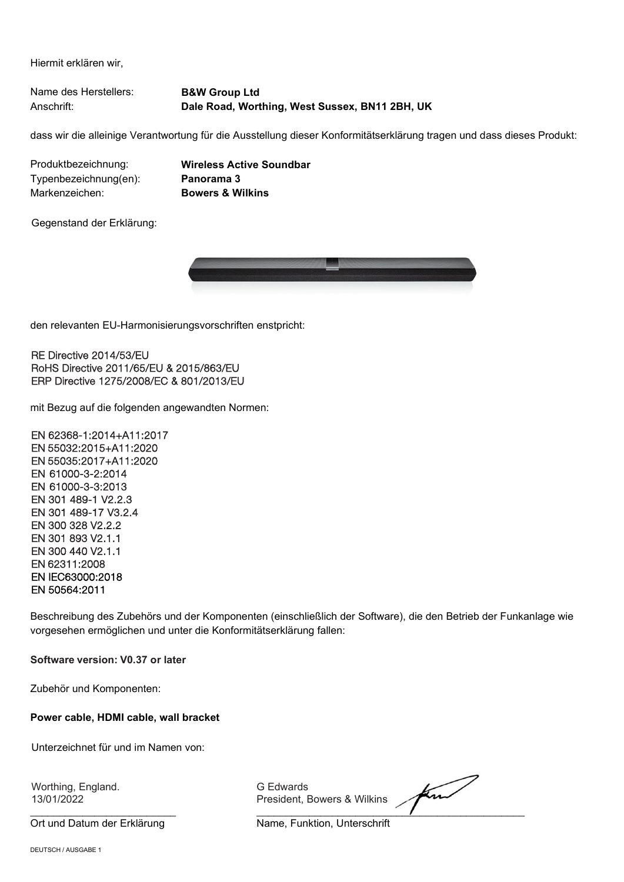Hiermit erklären wir,

Name des Herstellers: **B&W Group Ltd** Anschrift: **Dale Road, Worthing, West Sussex, BN11 2BH, UK**

dass wir die alleinige Verantwortung für die Ausstellung dieser Konformitätserklärung tragen und dass dieses Produkt:

Produktbezeichnung: **Wireless Active Soundbar** Typenbezeichnung(en): Markenzeichen: **Bowers & Wilkins**

Gegenstand der Erklärung:



den relevanten EU-Harmonisierungsvorschriften enstpricht:

RE Directive 2014/53/EU RoHS Directive 2011/65/EU & 2015/863/EU ERP Directive 1275/2008/EC & 801/2013/EU

mit Bezug auf die folgenden angewandten Normen:

EN 62368-1:2014+A11:2017 EN 55032:2015+A11:2020 EN 55035:2017+A11:2020 EN 61000-3-2:2014 EN 61000-3-3:2013 EN 301 489-1 V2.2.3 EN 301 489-17 V3.2.4 EN 300 328 V2.2.2 EN 301 893 V2.1.1 EN 300 440 V2.1.1 EN 62311:2008 EN IEC63000:2018 EN 50564:2011

Beschreibung des Zubehörs und der Komponenten (einschließlich der Software), die den Betrieb der Funkanlage wie vorgesehen ermöglichen und unter die Konformitätserklärung fallen:

**Software version: V0.37 or later**

Zubehör und Komponenten:

#### **Power cable, HDMI cable, wall bracket**

Unterzeichnet für und im Namen von:

Worthing, England. G Edwards

Ort und Datum der Erklärung Name, Funktion, Unterschrift

President, Bowers & Wilkins

 $\overline{\phantom{a}}$  , and the set of the set of the set of the set of the set of the set of the set of the set of the set of the set of the set of the set of the set of the set of the set of the set of the set of the set of the s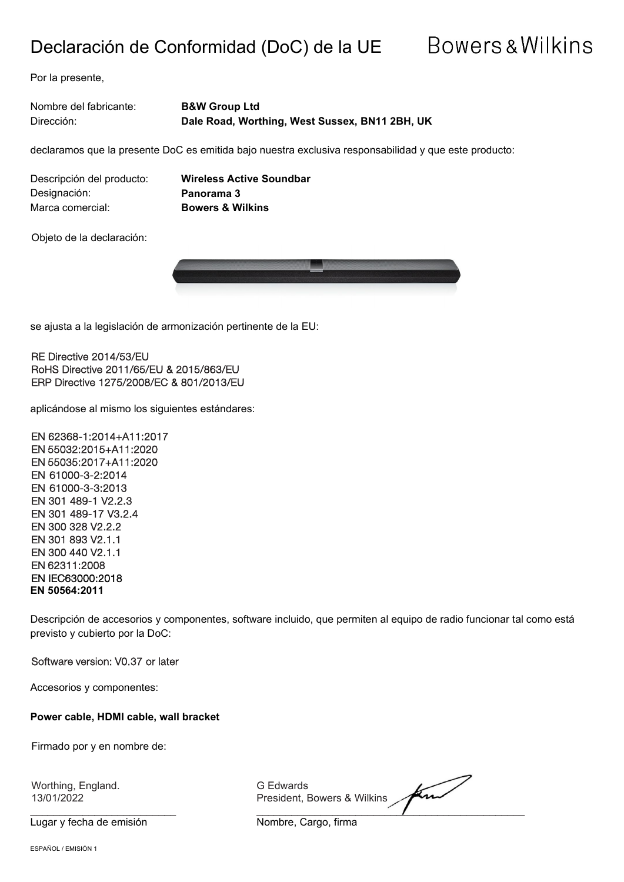### Declaración de Conformidad (DoC) de la UE

## **Bowers & Wilkins**

Por la presente,

Nombre del fabricante: **B&W Group Ltd** Dirección: **Dale Road, Worthing, West Sussex, BN11 2BH, UK**

declaramos que la presente DoC es emitida bajo nuestra exclusiva responsabilidad y que este producto:

Descripción del producto: **Wireless Active Soundbar** Designación: **Panorama 3** Marca comercial: **Bowers & Wilkins**

Objeto de la declaración:



se ajusta a la legislación de armonización pertinente de la EU:

RE Directive 2014/53/EU RoHS Directive 2011/65/EU & 2015/863/EU ERP Directive 1275/2008/EC & 801/2013/EU

aplicándose al mismo los siguientes estándares:

EN 62368-1:2014+A11:2017 EN 55032:2015+A11:2020 EN 55035:2017+A11:2020 EN 61000-3-2:2014 EN 61000-3-3:2013 EN 301 489-1 V2.2.3 EN 301 489-17 V3.2.4 EN 300 328 V2.2.2 EN 301 893 V2.1.1 EN 300 440 V2.1.1 EN 62311:2008 EN IEC63000:2018 **EN 50564:2011**

Descripción de accesorios y componentes, software incluido, que permiten al equipo de radio funcionar tal como está previsto y cubierto por la DoC:

Software version: V0.37 or later

Accesorios y componentes:

**Power cable, HDMI cable, wall bracket**

Firmado por y en nombre de:

Worthing, England. G Edwards

Lugar y fecha de emisión Nombre, Cargo, firma

find President, Bowers & Wilkins  $\overline{\phantom{a}}$  ,  $\overline{\phantom{a}}$  ,  $\overline{\phantom{a}}$  ,  $\overline{\phantom{a}}$  ,  $\overline{\phantom{a}}$  ,  $\overline{\phantom{a}}$  ,  $\overline{\phantom{a}}$  ,  $\overline{\phantom{a}}$  ,  $\overline{\phantom{a}}$  ,  $\overline{\phantom{a}}$  ,  $\overline{\phantom{a}}$  ,  $\overline{\phantom{a}}$  ,  $\overline{\phantom{a}}$  ,  $\overline{\phantom{a}}$  ,  $\overline{\phantom{a}}$  ,  $\overline{\phantom{a}}$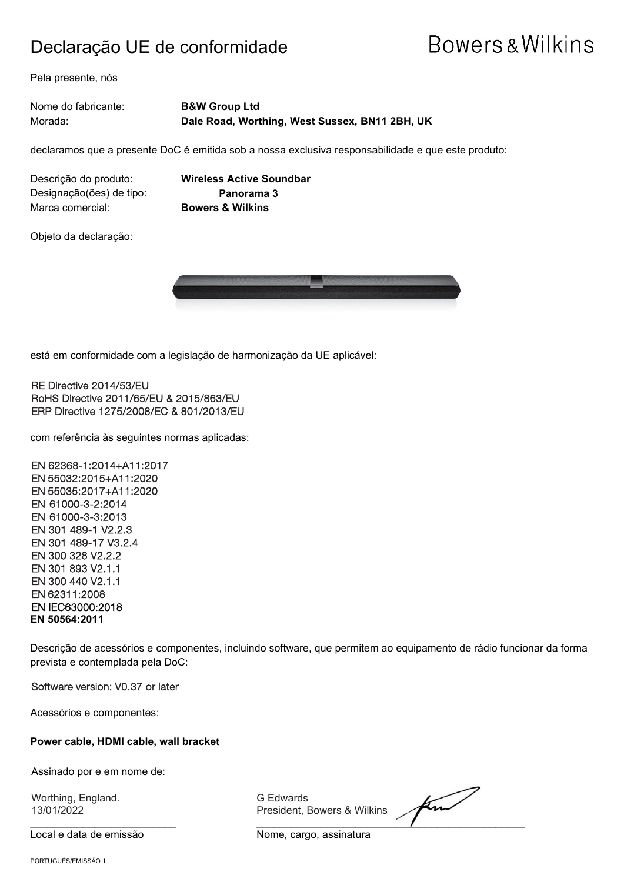### Declaração UE de conformidade

## **Bowers & Wilkins**

Pela presente, nós

Nome do fabricante: **B&W Group Ltd** Morada: **Dale Road, Worthing, West Sussex, BN11 2BH, UK**

declaramos que a presente DoC é emitida sob a nossa exclusiva responsabilidade e que este produto:

Descrição do produto: **Wireless Active Soundbar** Designação(ões) de tipo: **Panorama 3** Marca comercial: **Bowers & Wilkins**

Objeto da declaração:



está em conformidade com a legislação de harmonização da UE aplicável:

RE Directive 2014/53/EU RoHS Directive 2011/65/EU & 2015/863/EU ERP Directive 1275/2008/EC & 801/2013/EU

com referência às seguintes normas aplicadas:

EN 62368-1:2014+A11:2017 EN 55032:2015+A11:2020 EN 55035:2017+A11:2020 EN 61000-3-2:2014 EN 61000-3-3:2013 EN 301 489-1 V2.2.3 EN 301 489-17 V3.2.4 EN 300 328 V2.2.2 EN 301 893 V2.1.1 EN 300 440 V2.1.1 EN 62311:2008 EN IEC63000:2018 **EN 50564:2011**

Descrição de acessórios e componentes, incluindo software, que permitem ao equipamento de rádio funcionar da forma prevista e contemplada pela DoC:

Software version: V0.37 or later

Acessórios e componentes:

#### **Power cable, HDMI cable, wall bracket**

Assinado por e em nome de:

Worthing, England. G Edwards

Local e data de emissão Nome, cargo, assinatura

President, Bowers & Wilkins

find  $\frac{1}{2}$  ,  $\frac{1}{2}$  ,  $\frac{1}{2}$  ,  $\frac{1}{2}$  ,  $\frac{1}{2}$  ,  $\frac{1}{2}$  ,  $\frac{1}{2}$  ,  $\frac{1}{2}$  ,  $\frac{1}{2}$  ,  $\frac{1}{2}$  ,  $\frac{1}{2}$  ,  $\frac{1}{2}$  ,  $\frac{1}{2}$  ,  $\frac{1}{2}$  ,  $\frac{1}{2}$  ,  $\frac{1}{2}$  ,  $\frac{1}{2}$  ,  $\frac{1}{2}$  ,  $\frac{1$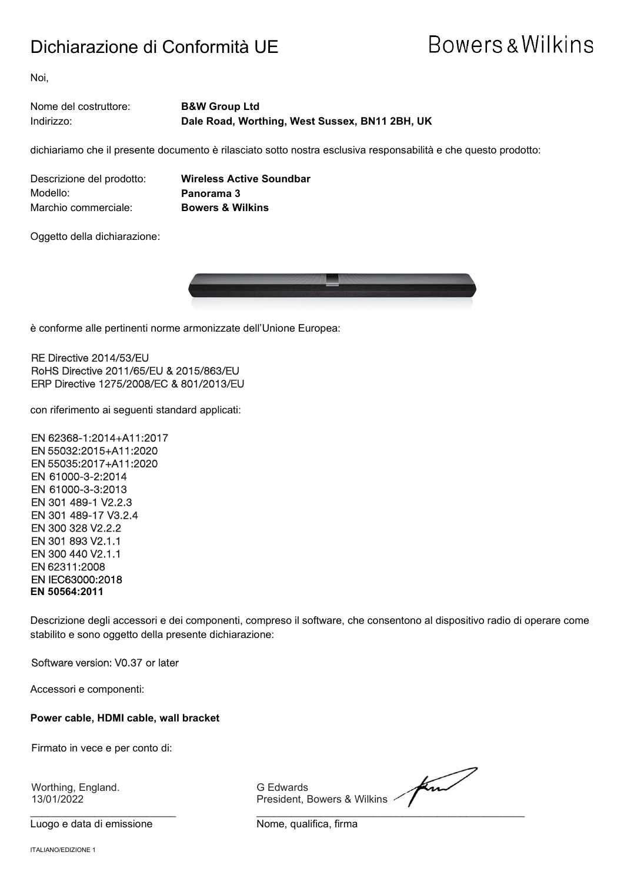### Dichiarazione di Conformità UE

## **Bowers & Wilkins**

Noi,

#### Nome del costruttore: **B&W Group Ltd** Indirizzo: **Dale Road, Worthing, West Sussex, BN11 2BH, UK**

dichiariamo che il presente documento è rilasciato sotto nostra esclusiva responsabilità e che questo prodotto:

Descrizione del prodotto: **Wireless Active Soundbar** Modello: **Panorama 3** Marchio commerciale: **Bowers & Wilkins**

Oggetto della dichiarazione:



è conforme alle pertinenti norme armonizzate dell'Unione Europea:

#### RE Directive 2014/53/EU RoHS Directive 2011/65/EU & 2015/863/EU ERP Directive 1275/2008/EC & 801/2013/EU

con riferimento ai seguenti standard applicati:

EN 62368-1:2014+A11:2017 EN 55032:2015+A11:2020 EN 55035:2017+A11:2020 EN 61000-3-2:2014 EN 61000-3-3:2013 EN 301 489-1 V2.2.3 EN 301 489-17 V3.2.4 EN 300 328 V2.2.2 EN 301 893 V2.1.1 EN 300 440 V2.1.1 EN 62311:2008 EN IEC63000:2018 **EN 50564:2011**

Descrizione degli accessori e dei componenti, compreso il software, che consentono al dispositivo radio di operare come stabilito e sono oggetto della presente dichiarazione:

Software version: V0.37 or later

Accessori e componenti:

#### **Power cable, HDMI cable, wall bracket**

Firmato in vece e per conto di:

Worthing, England. G Edwards

Luogo e data di emissione e controllo come Nome, qualifica, firma

President, Bowers & Wilkins <

find \_\_\_\_\_\_\_\_\_\_\_\_\_\_\_\_\_\_\_\_\_\_\_\_\_ \_\_\_\_\_\_\_\_\_\_\_\_\_\_\_\_\_\_\_\_\_\_\_\_\_\_\_\_\_\_\_\_\_\_\_\_\_\_\_\_\_\_\_\_\_\_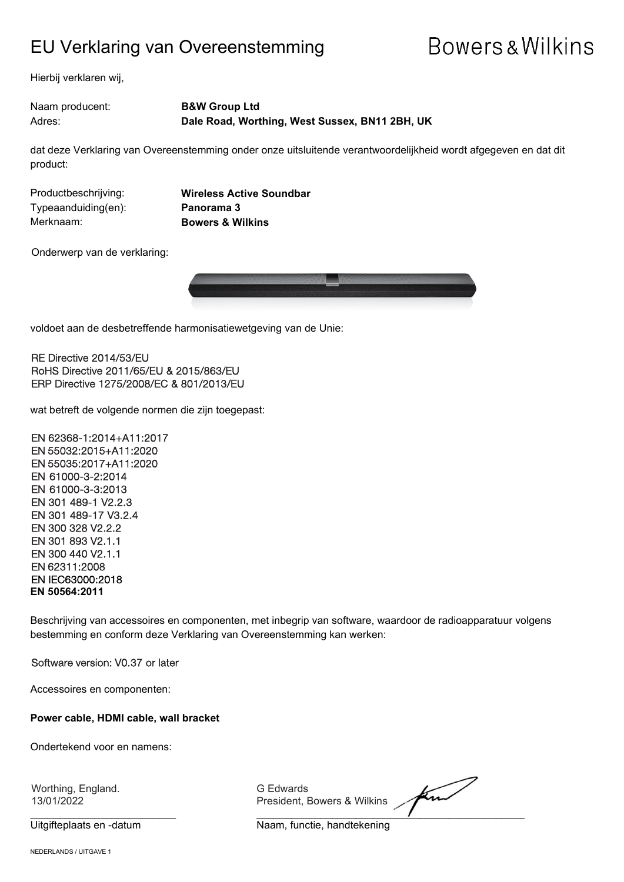### EU Verklaring van Overeenstemming

## **Bowers & Wilkins**

Hierbij verklaren wij,

Naam producent: **B&W Group Ltd** Adres: **Dale Road, Worthing, West Sussex, BN11 2BH, UK**

dat deze Verklaring van Overeenstemming onder onze uitsluitende verantwoordelijkheid wordt afgegeven en dat dit product:

Typeaanduiding(en): **Panorama 3** Merknaam: **Bowers & Wilkins**

Productbeschrijving: **Wireless Active Soundbar**

Onderwerp van de verklaring:



voldoet aan de desbetreffende harmonisatiewetgeving van de Unie:

RE Directive 2014/53/EU RoHS Directive 2011/65/EU & 2015/863/EU ERP Directive 1275/2008/EC & 801/2013/EU

wat betreft de volgende normen die zijn toegepast:

EN 62368-1:2014+A11:2017 EN 55032:2015+A11:2020 EN 55035:2017+A11:2020 EN 61000-3-2:2014 EN 61000-3-3:2013 EN 301 489-1 V2.2.3 EN 301 489-17 V3.2.4 EN 300 328 V2.2.2 EN 301 893 V2.1.1 EN 300 440 V2.1.1 EN 62311:2008 EN IEC63000:2018 **EN 50564:2011**

Beschrijving van accessoires en componenten, met inbegrip van software, waardoor de radioapparatuur volgens bestemming en conform deze Verklaring van Overeenstemming kan werken:

Software version: V0.37 or later

Accessoires en componenten:

**Power cable, HDMI cable, wall bracket**

Ondertekend voor en namens:

Worthing, England. G Edwards

President, Bowers & Wilkins

 $\overline{\phantom{a}}$  ,  $\overline{\phantom{a}}$  ,  $\overline{\phantom{a}}$  ,  $\overline{\phantom{a}}$  ,  $\overline{\phantom{a}}$  ,  $\overline{\phantom{a}}$  ,  $\overline{\phantom{a}}$  ,  $\overline{\phantom{a}}$  ,  $\overline{\phantom{a}}$  ,  $\overline{\phantom{a}}$  ,  $\overline{\phantom{a}}$  ,  $\overline{\phantom{a}}$  ,  $\overline{\phantom{a}}$  ,  $\overline{\phantom{a}}$  ,  $\overline{\phantom{a}}$  ,  $\overline{\phantom{a}}$ 

Uitgifteplaats en -datum Naam, functie, handtekening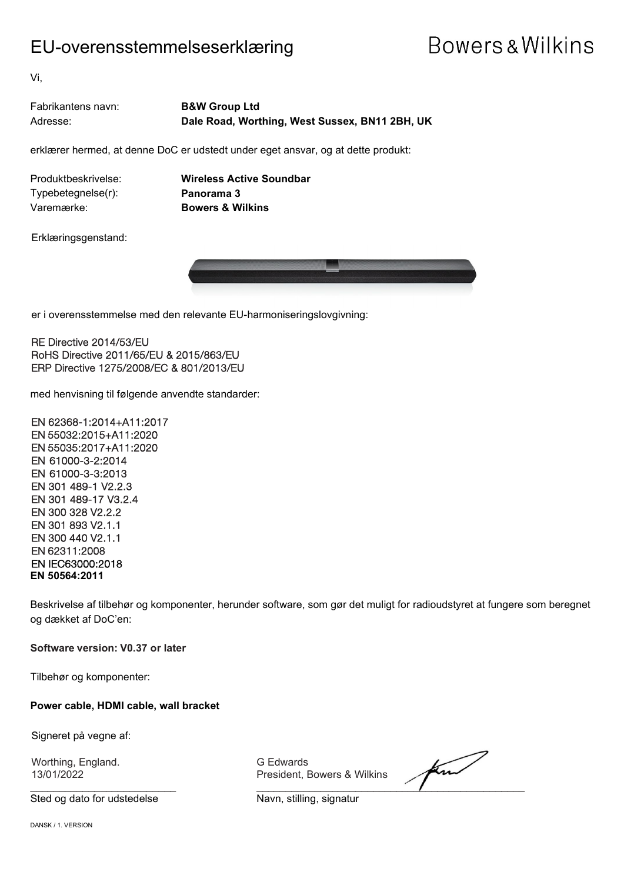### EU-overensstemmelseserklæring

## **Bowers & Wilkins**

Vi,

| Fabrikantens navn: | <b>B&amp;W Group Ltd</b>                       |
|--------------------|------------------------------------------------|
| Adresse:           | Dale Road, Worthing, West Sussex, BN11 2BH, UK |

erklærer hermed, at denne DoC er udstedt under eget ansvar, og at dette produkt:

Produktbeskrivelse: **Wireless Active Soundbar** Typebetegnelse(r): **Panorama 3** Varemærke: **Bowers & Wilkins**

Erklæringsgenstand:



er i overensstemmelse med den relevante EU-harmoniseringslovgivning:

RE Directive 2014/53/EU RoHS Directive 2011/65/EU & 2015/863/EU ERP Directive 1275/2008/EC & 801/2013/EU

med henvisning til følgende anvendte standarder:

EN 62368-1:2014+A11:2017 EN 55032:2015+A11:2020 EN 55035:2017+A11:2020 EN 61000-3-2:2014 EN 61000-3-3:2013 EN 301 489-1 V2.2.3 EN 301 489-17 V3.2.4 EN 300 328 V2.2.2 EN 301 893 V2.1.1 EN 300 440 V2.1.1 EN 62311:2008 EN IEC63000:2018 **EN 50564:2011**

Beskrivelse af tilbehør og komponenter, herunder software, som gør det muligt for radioudstyret at fungere som beregnet og dækket af DoC'en:

**Software version: V0.37 or later**

Tilbehør og komponenter:

**Power cable, HDMI cable, wall bracket**

Signeret på vegne af:

Worthing, England. G Edwards<br>13/01/2022 The Second President, E

Sted og dato for udstedelse Navn, stilling, signatur

President, Bowers & Wilkins

find  $\overline{\phantom{a}}$  ,  $\overline{\phantom{a}}$  ,  $\overline{\phantom{a}}$  ,  $\overline{\phantom{a}}$  ,  $\overline{\phantom{a}}$  ,  $\overline{\phantom{a}}$  ,  $\overline{\phantom{a}}$  ,  $\overline{\phantom{a}}$  ,  $\overline{\phantom{a}}$  ,  $\overline{\phantom{a}}$  ,  $\overline{\phantom{a}}$  ,  $\overline{\phantom{a}}$  ,  $\overline{\phantom{a}}$  ,  $\overline{\phantom{a}}$  ,  $\overline{\phantom{a}}$  ,  $\overline{\phantom{a}}$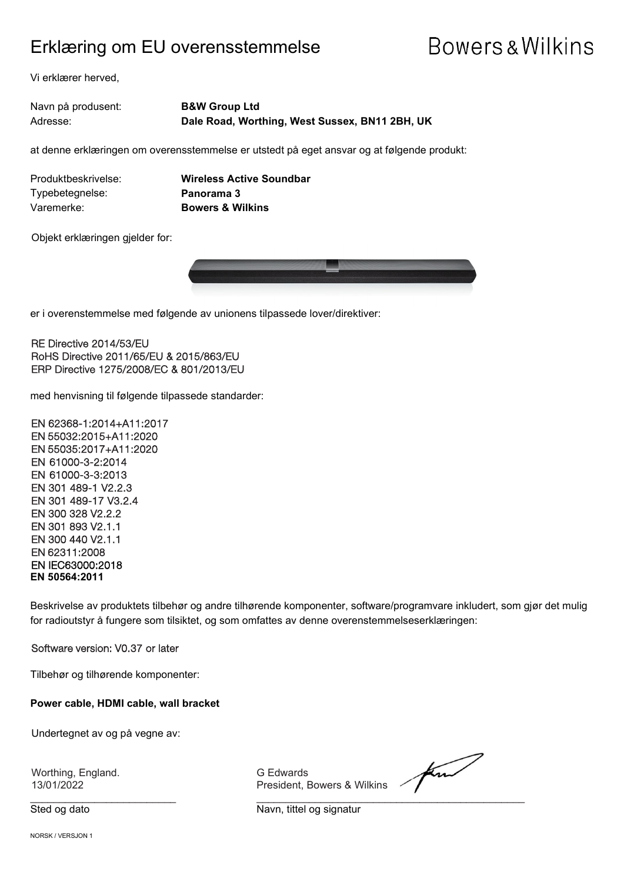### Erklæring om EU overensstemmelse

## **Bowers & Wilkins**

Vi erklærer herved,

| Navn på produsent: | <b>B&amp;W Group Ltd</b>                       |
|--------------------|------------------------------------------------|
| Adresse:           | Dale Road, Worthing, West Sussex, BN11 2BH, UK |

at denne erklæringen om overensstemmelse er utstedt på eget ansvar og at følgende produkt:

| Produktbeskrivelse: | <b>Wireless Ac</b> |
|---------------------|--------------------|
| Typebetegnelse:     | Panorama 3         |
| Varemerke:          | Bowers & W         |

**Active Soundbar Wilkins** 

Objekt erklæringen gjelder for:



er i overenstemmelse med følgende av unionens tilpassede lover/direktiver:

RE Directive 2014/53/EU RoHS Directive 2011/65/EU & 2015/863/EU ERP Directive 1275/2008/EC & 801/2013/EU

med henvisning til følgende tilpassede standarder:

EN 62368-1:2014+A11:2017 EN 55032:2015+A11:2020 EN 55035:2017+A11:2020 EN 61000-3-2:2014 EN 61000-3-3:2013 EN 301 489-1 V2.2.3 EN 301 489-17 V3.2.4 EN 300 328 V2.2.2 EN 301 893 V2.1.1 EN 300 440 V2.1.1 EN 62311:2008 EN IEC63000:2018 **EN 50564:2011**

Beskrivelse av produktets tilbehør og andre tilhørende komponenter, software/programvare inkludert, som gjør det mulig for radioutstyr å fungere som tilsiktet, og som omfattes av denne overenstemmelseserklæringen:

Software version: V0.37 or later

Tilbehør og tilhørende komponenter:

**Power cable, HDMI cable, wall bracket**

Undertegnet av og på vegne av:

Worthing, England. G Edwards (G Edwards 13/01/2022

President, Bowers & Wilkins

Sted og dato Navn, tittel og signatur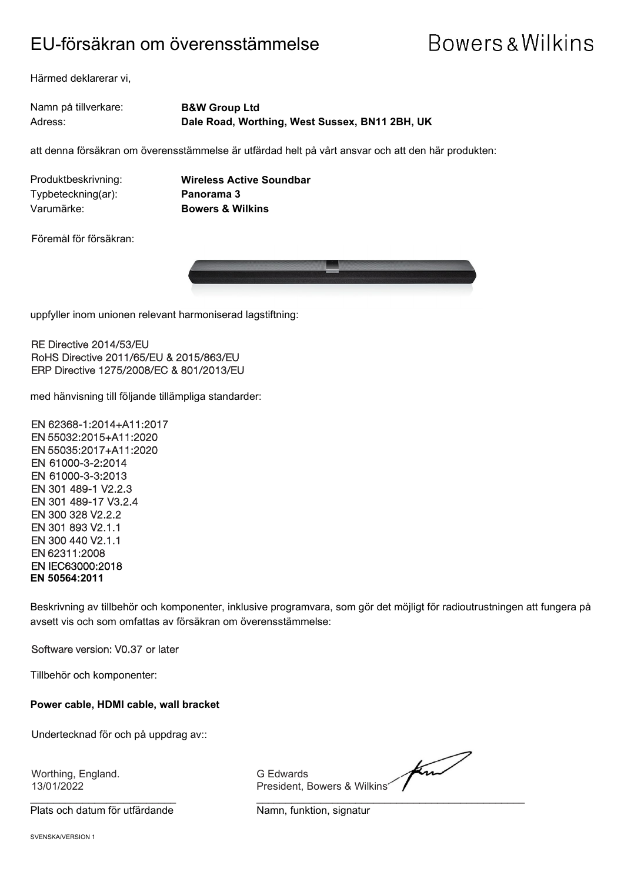### EU-försäkran om överensstämmelse

## **Bowers & Wilkins**

Härmed deklarerar vi,

Namn på tillverkare: **B&W Group Ltd** Adress: **Dale Road, Worthing, West Sussex, BN11 2BH, UK**

att denna försäkran om överensstämmelse är utfärdad helt på vårt ansvar och att den här produkten:

Typbeteckning(ar): **Panorama 3** Varumärke: **Bowers & Wilkins**

Produktbeskrivning: **Wireless Active Soundbar**

Föremål för försäkran:



uppfyller inom unionen relevant harmoniserad lagstiftning:

RE Directive 2014/53/EU RoHS Directive 2011/65/EU & 2015/863/EU ERP Directive 1275/2008/EC & 801/2013/EU

med hänvisning till följande tillämpliga standarder:

EN 62368-1:2014+A11:2017 EN 55032:2015+A11:2020 EN 55035:2017+A11:2020 EN 61000-3-2:2014 EN 61000-3-3:2013 EN 301 489-1 V2.2.3 EN 301 489-17 V3.2.4 EN 300 328 V2.2.2 EN 301 893 V2.1.1 EN 300 440 V2.1.1 EN 62311:2008 EN IEC63000:2018 **EN 50564:2011**

Beskrivning av tillbehör och komponenter, inklusive programvara, som gör det möjligt för radioutrustningen att fungera på avsett vis och som omfattas av försäkran om överensstämmelse:

#### Software version: V0.37 or later

Tillbehör och komponenter:

**Power cable, HDMI cable, wall bracket**

Undertecknad för och på uppdrag av::

Worthing, England. G Edwards<br>13/01/2022 The Second President, E

Plats och datum för utfärdande Namn, funktion, signatur

find President, Bowers & Wilkins

 $\frac{1}{2}$  , and the contribution of the contribution of  $\frac{1}{2}$  , and  $\frac{1}{2}$  , and  $\frac{1}{2}$  , and  $\frac{1}{2}$  , and  $\frac{1}{2}$  , and  $\frac{1}{2}$  , and  $\frac{1}{2}$  , and  $\frac{1}{2}$  , and  $\frac{1}{2}$  , and  $\frac{1}{2}$  , and  $\frac{1$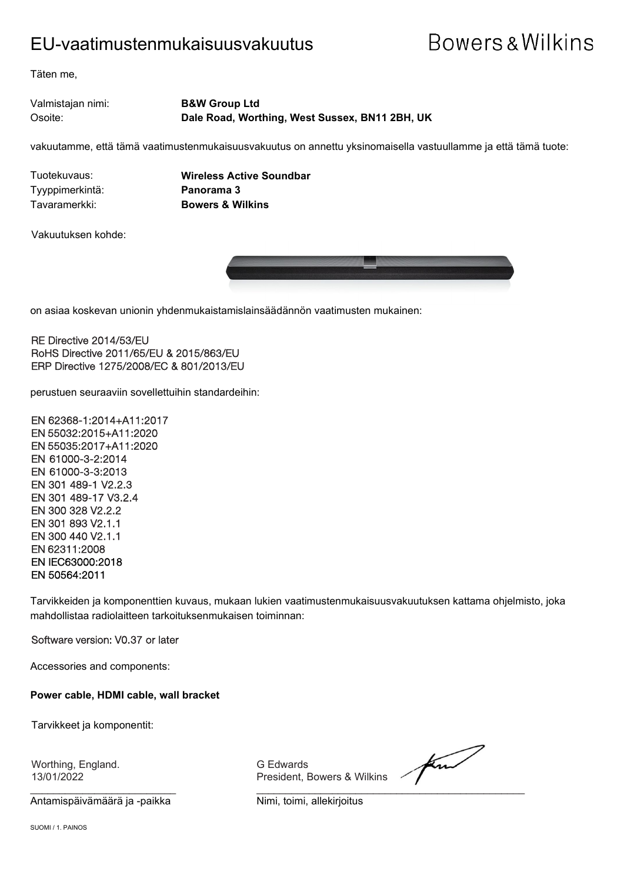### EU-vaatimustenmukaisuusvakuutus

## **Bowers & Wilkins**

Täten me,

Valmistajan nimi: **B&W Group Ltd** Osoite: **Dale Road, Worthing, West Sussex, BN11 2BH, UK**

vakuutamme, että tämä vaatimustenmukaisuusvakuutus on annettu yksinomaisella vastuullamme ja että tämä tuote:

Tyyppimerkintä: **Panorama 3**

Tuotekuvaus: **Wireless Active Soundbar** Tavaramerkki: **Bowers & Wilkins**

Vakuutuksen kohde:



on asiaa koskevan unionin yhdenmukaistamislainsäädännön vaatimusten mukainen:

RE Directive 2014/53/EU RoHS Directive 2011/65/EU & 2015/863/EU ERP Directive 1275/2008/EC & 801/2013/EU

perustuen seuraaviin sovellettuihin standardeihin:

EN 62368-1:2014+A11:2017 EN 55032:2015+A11:2020 EN 55035:2017+A11:2020 EN 61000-3-2:2014 EN 61000-3-3:2013 EN 301 489-1 V2.2.3 EN 301 489-17 V3.2.4 EN 300 328 V2.2.2 EN 301 893 V2.1.1 EN 300 440 V2.1.1 EN 62311:2008 EN IEC63000:2018 EN 50564:2011

Tarvikkeiden ja komponenttien kuvaus, mukaan lukien vaatimustenmukaisuusvakuutuksen kattama ohjelmisto, joka mahdollistaa radiolaitteen tarkoituksenmukaisen toiminnan:

#### Software version: V0.37 or later

Accessories and components:

**Power cable, HDMI cable, wall bracket**

Tarvikkeet ja komponentit:

Worthing, England. G Edwards

\_\_\_\_\_\_\_\_\_\_\_\_\_\_\_\_\_\_\_\_\_\_\_\_\_ \_\_\_\_\_\_\_\_\_\_\_\_\_\_\_\_\_\_\_\_\_\_\_\_\_\_\_\_\_\_\_\_\_\_\_\_\_\_\_\_\_\_\_\_\_\_ Antamispäivämäärä ja -paikka<br>Nimi, toimi, allekirjoitus

President, Bowers & Wilkins

for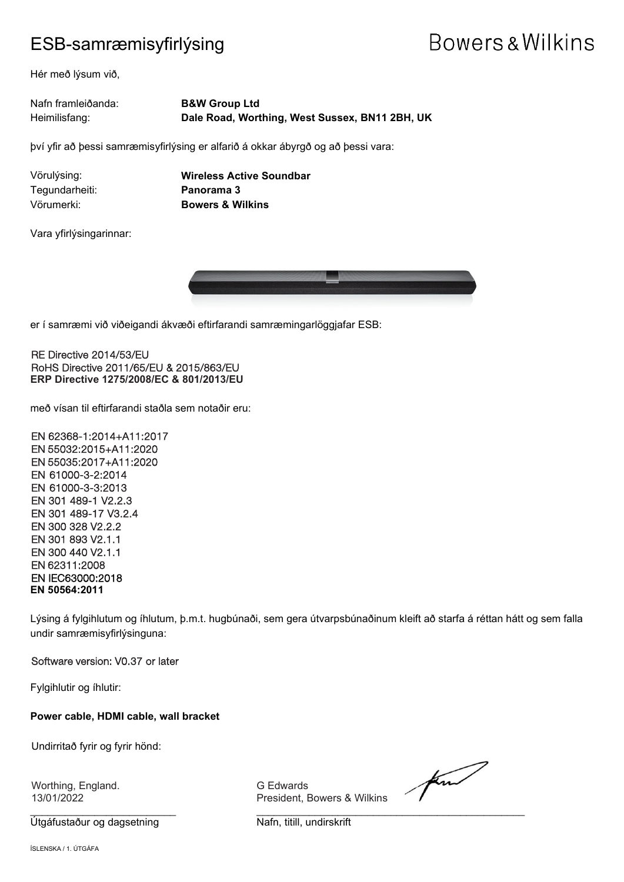### ESB-samræmisyfirlýsing

## Bowers & Wilkins

Hér með lýsum við,

| Nafn framleiðanda: | <b>B&amp;W Group Ltd</b>                       |
|--------------------|------------------------------------------------|
| Heimilisfang:      | Dale Road, Worthing, West Sussex, BN11 2BH, UK |

því yfir að þessi samræmisyfirlýsing er alfarið á okkar ábyrgð og að þessi vara:

Tegundarheiti: **Panorama 3**

Vörulýsing: **Wireless Active Soundbar** Vörumerki: **Bowers & Wilkins**

Vara yfirlýsingarinnar:



er í samræmi við viðeigandi ákvæði eftirfarandi samræmingarlöggjafar ESB:

RE Directive 2014/53/EU RoHS Directive 2011/65/EU & 2015/863/EU **ERP Directive 1275/2008/EC & 801/2013/EU**

með vísan til eftirfarandi staðla sem notaðir eru:

EN 62368-1:2014+A11:2017 EN 55032:2015+A11:2020 EN 55035:2017+A11:2020 EN 61000-3-2:2014 EN 61000-3-3:2013 EN 301 489-1 V2.2.3 EN 301 489-17 V3.2.4 EN 300 328 V2.2.2 EN 301 893 V2.1.1 EN 300 440 V2.1.1 EN 62311:2008 EN IEC63000:2018 **EN 50564:2011**

Lýsing á fylgihlutum og íhlutum, þ.m.t. hugbúnaði, sem gera útvarpsbúnaðinum kleift að starfa á réttan hátt og sem falla undir samræmisyfirlýsinguna:

Software version: V0.37 or later

Fylgihlutir og íhlutir:

**Power cable, HDMI cable, wall bracket**

Undirritað fyrir og fyrir hönd:

Worthing, England. G Edwards

Útgáfustaður og dagsetning Nafn, titill, undirskrift

President, Bowers & Wilkins

for

 $\frac{1}{2}$  , and the set of the set of the set of the set of the set of the set of the set of the set of the set of the set of the set of the set of the set of the set of the set of the set of the set of the set of the set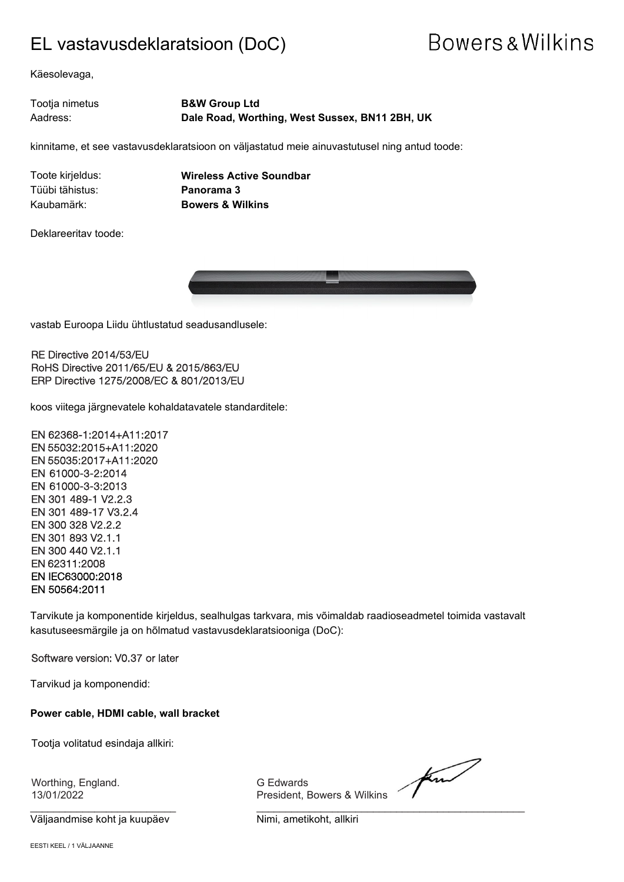### EL vastavusdeklaratsioon (DoC)

## Bowers & Wilkins

Käesolevaga,

#### Tootja nimetus **B&W Group Ltd** Aadress: **Dale Road, Worthing, West Sussex, BN11 2BH, UK**

kinnitame, et see vastavusdeklaratsioon on väljastatud meie ainuvastutusel ning antud toode:

Tüübi tähistus: **Panorama 3**

Toote kirjeldus: **Wireless Active Soundbar** Kaubamärk: **Bowers & Wilkins**

Deklareeritav toode:



vastab Euroopa Liidu ühtlustatud seadusandlusele:

RE Directive 2014/53/EU RoHS Directive 2011/65/EU & 2015/863/EU ERP Directive 1275/2008/EC & 801/2013/EU

koos viitega järgnevatele kohaldatavatele standarditele:

EN 62368-1:2014+A11:2017 EN 55032:2015+A11:2020 EN 55035:2017+A11:2020 EN 61000-3-2:2014 EN 61000-3-3:2013 EN 301 489-1 V2.2.3 EN 301 489-17 V3.2.4 EN 300 328 V2.2.2 EN 301 893 V2.1.1 EN 300 440 V2.1.1 EN 62311:2008 EN IEC63000:2018 EN 50564:2011

Tarvikute ja komponentide kirjeldus, sealhulgas tarkvara, mis võimaldab raadioseadmetel toimida vastavalt kasutuseesmärgile ja on hõlmatud vastavusdeklaratsiooniga (DoC):

Software version: V0.37 or later

Tarvikud ja komponendid:

**Power cable, HDMI cable, wall bracket**

Tootja volitatud esindaja allkiri:

Worthing, England. G Edwards

\_\_\_\_\_\_\_\_\_\_\_\_\_\_\_\_\_\_\_\_\_\_\_\_\_ \_\_\_\_\_\_\_\_\_\_\_\_\_\_\_\_\_\_\_\_\_\_\_\_\_\_\_\_\_\_\_\_\_\_\_\_\_\_\_\_\_\_\_\_\_\_ Väljaandmise koht ja kuupäev **Nimi**, ametikoht, allkiri

13/01/2022 President, Bowers & Wilkins

find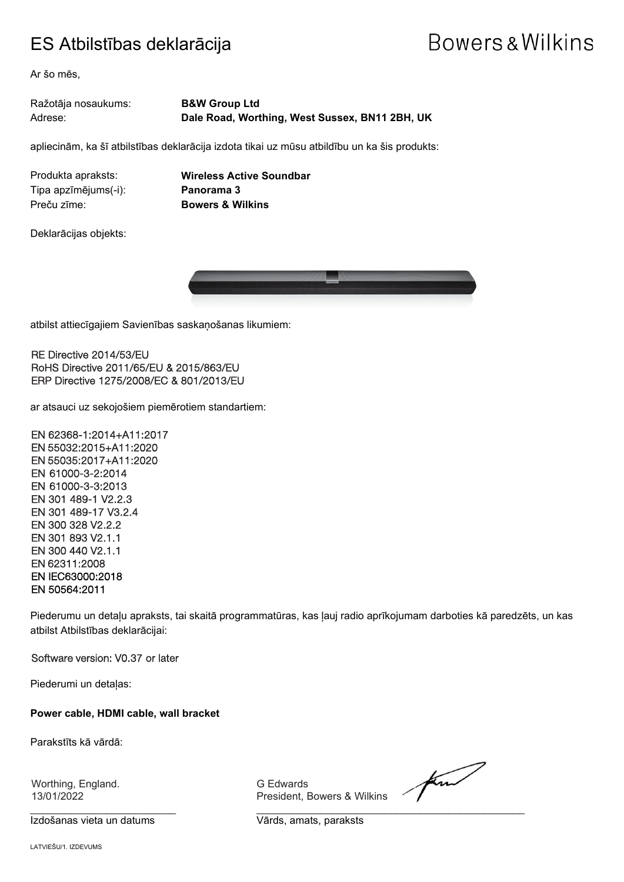### ES Atbilstības deklarācija

## Bowers & Wilkins

Ar šo mēs,

#### Ražotāja nosaukums: **B&W Group Ltd** Adrese: **Dale Road, Worthing, West Sussex, BN11 2BH, UK**

apliecinām, ka šī atbilstības deklarācija izdota tikai uz mūsu atbildību un ka šis produkts:

Tipa apzīmējums(-i): **Panorama 3** Preču zīme: **Bowers & Wilkins**

Produkta apraksts: **Wireless Active Soundbar**

Deklarācijas objekts:



atbilst attiecīgajiem Savienības saskaņošanas likumiem:

RE Directive 2014/53/EU RoHS Directive 2011/65/EU & 2015/863/EU ERP Directive 1275/2008/EC & 801/2013/EU

ar atsauci uz sekojošiem piemērotiem standartiem:

EN 62368-1:2014+A11:2017 EN 55032:2015+A11:2020 EN 55035:2017+A11:2020 EN 61000-3-2:2014 EN 61000-3-3:2013 EN 301 489-1 V2.2.3 EN 301 489-17 V3.2.4 EN 300 328 V2.2.2 EN 301 893 V2.1.1 EN 300 440 V2.1.1 EN 62311:2008 EN IEC63000:2018 EN 50564:2011

Piederumu un detaļu apraksts, tai skaitā programmatūras, kas ļauj radio aprīkojumam darboties kā paredzēts, un kas atbilst Atbilstības deklarācijai:

Software version: V0.37 or later

Piederumi un detaļas:

**Power cable, HDMI cable, wall bracket**

Parakstīts kā vārdā:

Worthing, England. G Edwards<br>13/01/2022 The Second President, E

Izdošanas vieta un datums Vārds, amats, paraksts

President, Bowers & Wilkins

for

 $\frac{1}{2}$  , and the contribution of the contribution of  $\frac{1}{2}$  , and  $\frac{1}{2}$  , and  $\frac{1}{2}$  , and  $\frac{1}{2}$  , and  $\frac{1}{2}$  , and  $\frac{1}{2}$  , and  $\frac{1}{2}$  , and  $\frac{1}{2}$  , and  $\frac{1}{2}$  , and  $\frac{1}{2}$  , and  $\frac{1$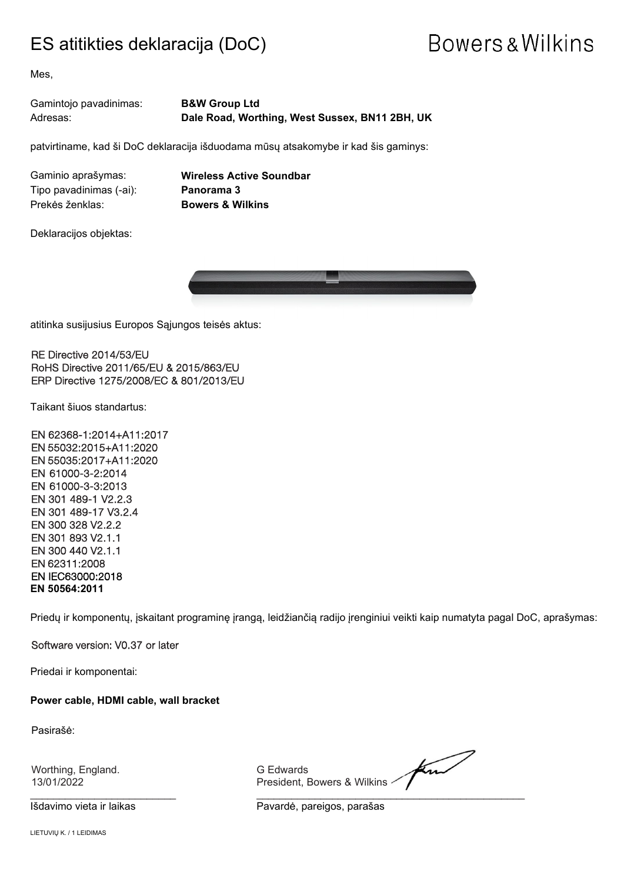### ES atitikties deklaracija (DoC)

# **Bowers & Wilkins**

Mes,

| Gamintojo pavadinimas: | <b>B&amp;W Group Ltd</b>                       |
|------------------------|------------------------------------------------|
| Adresas:               | Dale Road, Worthing, West Sussex, BN11 2BH, UK |

patvirtiname, kad ši DoC deklaracija išduodama mūsų atsakomybe ir kad šis gaminys:

Tipo pavadinimas (-ai): **Panorama 3** Prekės ženklas: **Bowers & Wilkins**

Gaminio aprašymas: **Wireless Active Soundbar**

Deklaracijos objektas:



atitinka susijusius Europos Sąjungos teisės aktus:

RE Directive 2014/53/EU RoHS Directive 2011/65/EU & 2015/863/EU ERP Directive 1275/2008/EC & 801/2013/EU

Taikant šiuos standartus:

EN 62368-1:2014+A11:2017 EN 55032:2015+A11:2020 EN 55035:2017+A11:2020 EN 61000-3-2:2014 EN 61000-3-3:2013 EN 301 489-1 V2.2.3 EN 301 489-17 V3.2.4 EN 300 328 V2.2.2 EN 301 893 V2.1.1 EN 300 440 V2.1.1 EN 62311:2008 EN IEC63000:2018 **EN 50564:2011**

Priedų ir komponentų, įskaitant programinę įrangą, leidžiančią radijo įrenginiui veikti kaip numatyta pagal DoC, aprašymas:

Software version: V0.37 or later

Priedai ir komponentai:

**Power cable, HDMI cable, wall bracket**

Pasirašė:

Worthing, England. G Edwards

for President, Bowers & Wilkins <

\_\_\_\_\_\_\_\_\_\_\_\_\_\_\_\_\_\_\_\_\_\_\_\_\_ \_\_\_\_\_\_\_\_\_\_\_\_\_\_\_\_\_\_\_\_\_\_\_\_\_\_\_\_\_\_\_\_\_\_\_\_\_\_\_\_\_\_\_\_\_\_

Išdavimo vieta ir laikas **Pavardė, pareigos, parašas**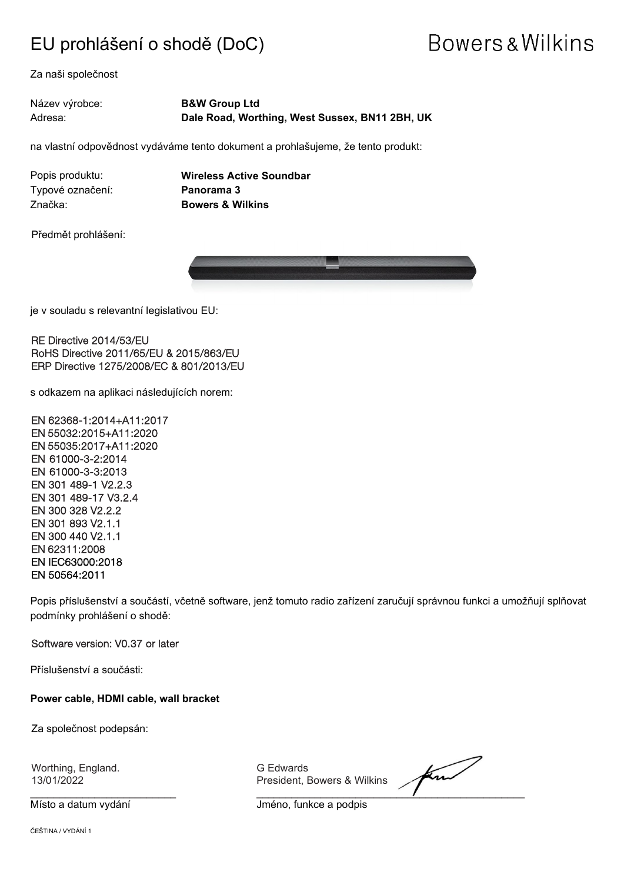### EU prohlášení o shodě (DoC)

## **Bowers & Wilkins**

Za naši společnost

Název výrobce: **B&W Group Ltd** Adresa: **Dale Road, Worthing, West Sussex, BN11 2BH, UK**

na vlastní odpovědnost vydáváme tento dokument a prohlašujeme, že tento produkt:

Typové označení: **Panorama 3** Značka: **Bowers & Wilkins**

Popis produktu: **Wireless Active Soundbar**

Předmět prohlášení:



 $\overline{a}$ je v souladu s relevantní legislativou EU:

RE Directive 2014/53/EU RoHS Directive 2011/65/EU & 2015/863/EU ERP Directive 1275/2008/EC & 801/2013/EU

s odkazem na aplikaci následujících norem:

EN 62368-1:2014+A11:2017 EN 55032:2015+A11:2020 EN 55035:2017+A11:2020 EN 61000-3-2:2014 EN 61000-3-3:2013 EN 301 489-1 V2.2.3 EN 301 489-17 V3.2.4 EN 300 328 V2.2.2 EN 301 893 V2.1.1 EN 300 440 V2.1.1 EN 62311:2008 EN IEC63000:2018 EN 50564:2011

Popis příslušenství a součástí, včetně software, jenž tomuto radio zařízení zaručují správnou funkci a umožňují splňovat podmínky prohlášení o shodě:

Software version: V0.37 or later

Příslušenství a součásti:

**Power cable, HDMI cable, wall bracket**

Za společnost podepsán:

Worthing, England. G Edwards

President, Bowers & Wilkins

\_\_\_\_\_\_\_\_\_\_\_\_\_\_\_\_\_\_\_\_\_\_\_\_\_ \_\_\_\_\_\_\_\_\_\_\_\_\_\_\_\_\_\_\_\_\_\_\_\_\_\_\_\_\_\_\_\_\_\_\_\_\_\_\_\_\_\_\_\_\_\_

Místo a datum vydání vznikladní vzduhladní v vlastní vydání v vlastní v vlastní v vlastní v vlastní v vlastní v

ČEŠTINA / VYDÁNÍ 1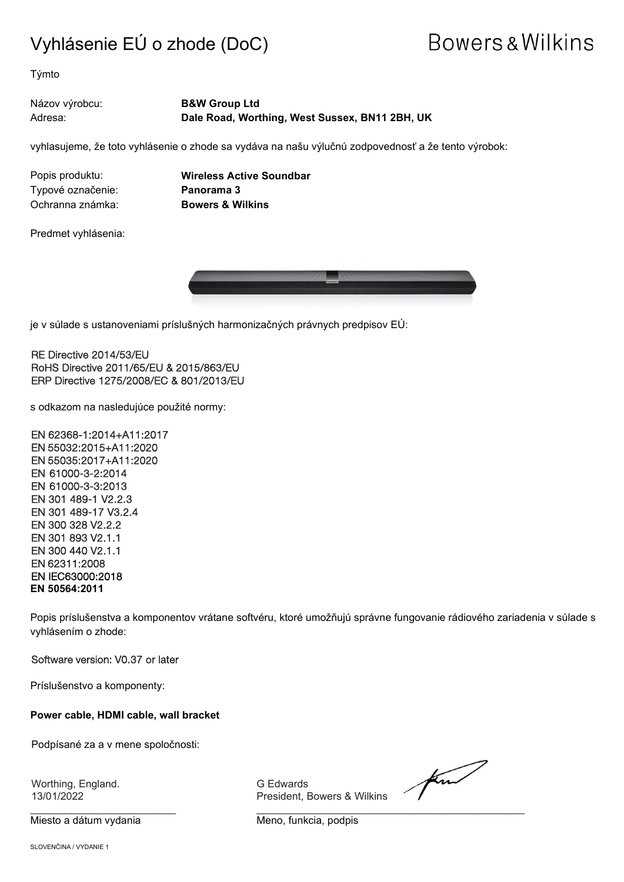### Vyhlásenie EÚ o zhode (DoC)

## Bowers & Wilkins

Týmto

Názov výrobcu: **B&W Group Ltd** Adresa: **Dale Road, Worthing, West Sussex, BN11 2BH, UK**

vyhlasujeme, že toto vyhlásenie o zhode sa vydáva na našu výlučnú zodpovednosť a že tento výrobok:

Typové označenie: **Panorama 3** Ochranna známka: **Bowers & Wilkins**

Popis produktu: **Wireless Active Soundbar**

Predmet vyhlásenia:



 $\overline{a}$ je v súlade s ustanoveniami príslušných harmonizačných právnych predpisov EÚ:

RE Directive 2014/53/EU RoHS Directive 2011/65/EU & 2015/863/EU ERP Directive 1275/2008/EC & 801/2013/EU

s odkazom na nasledujúce použité normy:

EN 62368-1:2014+A11:2017 EN 55032:2015+A11:2020 EN 55035:2017+A11:2020 EN 61000-3-2:2014 EN 61000-3-3:2013 EN 301 489-1 V2.2.3 EN 301 489-17 V3.2.4 EN 300 328 V2.2.2 EN 301 893 V2.1.1 EN 300 440 V2.1.1 EN 62311:2008 EN IEC63000:2018 **EN 50564:2011**

Popis príslušenstva a komponentov vrátane softvéru, ktoré umožňujú správne fungovanie rádiového zariadenia v súlade s vyhlásením o zhode:

Software version: V0.37 or later

Príslušenstvo a komponenty:

**Power cable, HDMI cable, wall bracket**

Podpísané za a v mene spoločnosti:

Worthing, England. G Edwards

Miesto a dátum vydania metalair metal Meno, funkcia, podpis

President, Bowers & Wilkins

for

 $\frac{1}{2}$  , and the contribution of the contribution of  $\frac{1}{2}$  , and  $\frac{1}{2}$  , and  $\frac{1}{2}$  , and  $\frac{1}{2}$  , and  $\frac{1}{2}$  , and  $\frac{1}{2}$  , and  $\frac{1}{2}$  , and  $\frac{1}{2}$  , and  $\frac{1}{2}$  , and  $\frac{1}{2}$  , and  $\frac{1$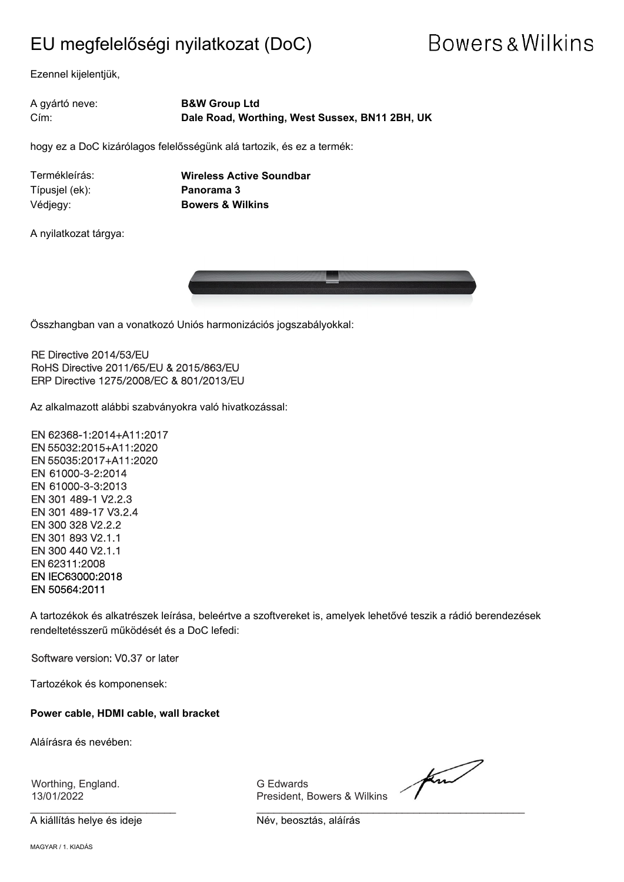### EU megfelelőségi nyilatkozat (DoC)

## **Bowers & Wilkins**

Ezennel kijelentjük,

| A gyártó neve: | <b>B&amp;W Group Ltd</b>                       |
|----------------|------------------------------------------------|
| Cím:           | Dale Road, Worthing, West Sussex, BN11 2BH, UK |

hogy ez a DoC kizárólagos felelősségünk alá tartozik, és ez a termék:

Típusjel (ek): **Panorama 3**

Termékleírás: **Wireless Active Soundbar** Védjegy: **Bowers & Wilkins**

A nyilatkozat tárgya:



J Összhangban van a vonatkozó Uniós harmonizációs jogszabályokkal:

RE Directive 2014/53/EU RoHS Directive 2011/65/EU & 2015/863/EU ERP Directive 1275/2008/EC & 801/2013/EU

Az alkalmazott alábbi szabványokra való hivatkozással:

EN 62368-1:2014+A11:2017 EN 55032:2015+A11:2020 EN 55035:2017+A11:2020 EN 61000-3-2:2014 EN 61000-3-3:2013 EN 301 489-1 V2.2.3 EN 301 489-17 V3.2.4 EN 300 328 V2.2.2 EN 301 893 V2.1.1 EN 300 440 V2.1.1 EN 62311:2008 EN IEC63000:2018 EN 50564:2011

A tartozékok és alkatrészek leírása, beleértve a szoftvereket is, amelyek lehetővé teszik a rádió berendezések rendeltetésszerű működését és a DoC lefedi:

Software version: V0.37 or later

Tartozékok és komponensek:

**Power cable, HDMI cable, wall bracket**

Aláírásra és nevében:

Worthing, England. G Edwards

A kiállítás helye és ideje Név, beosztás, aláírás

President, Bowers & Wilkins

find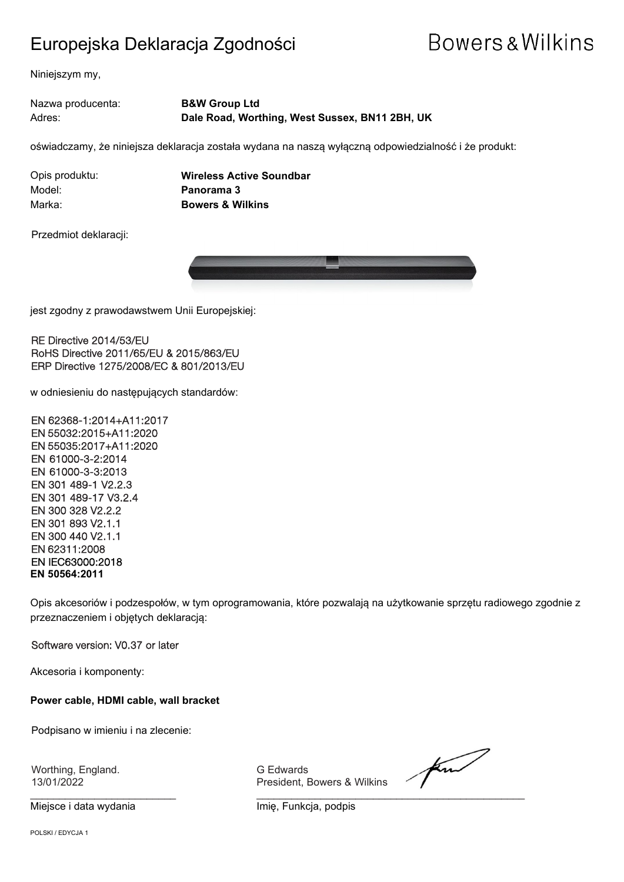### Europejska Deklaracja Zgodności

## **Bowers & Wilkins**

Niniejszym my,

Nazwa producenta: **B&W Group Ltd** Adres: **Dale Road, Worthing, West Sussex, BN11 2BH, UK**

oświadczamy, że niniejsza deklaracja została wydana na naszą wyłączną odpowiedzialność i że produkt:

Model: **Panorama 3**

Opis produktu: **Wireless Active Soundbar** Marka: **Bowers & Wilkins**

Przedmiot deklaracji:



 $\overline{a}$ jest zgodny z prawodawstwem Unii Europejskiej:

RE Directive 2014/53/EU RoHS Directive 2011/65/EU & 2015/863/EU ERP Directive 1275/2008/EC & 801/2013/EU

w odniesieniu do następujących standardów:

EN 62368-1:2014+A11:2017 EN 55032:2015+A11:2020 EN 55035:2017+A11:2020 EN 61000-3-2:2014 EN 61000-3-3:2013 EN 301 489-1 V2.2.3 EN 301 489-17 V3.2.4 EN 300 328 V2.2.2 EN 301 893 V2.1.1 EN 300 440 V2.1.1 EN 62311:2008 EN IEC63000:2018 **EN 50564:2011**

Opis akcesoriów i podzespołów, w tym oprogramowania, które pozwalają na użytkowanie sprzętu radiowego zgodnie z przeznaczeniem i objętych deklaracją:

Software version: V0.37 or later

Akcesoria i komponenty:

**Power cable, HDMI cable, wall bracket**

Podpisano w imieniu i na zlecenie:

Worthing, England. G Edwards

13/01/2022 President, Bowers & Wilkins

for

 $\frac{1}{2}$  , and the set of the set of the set of the set of the set of the set of the set of the set of the set of the set of the set of the set of the set of the set of the set of the set of the set of the set of the set Miejsce i data wydania **Imię, Funkcja**, podpis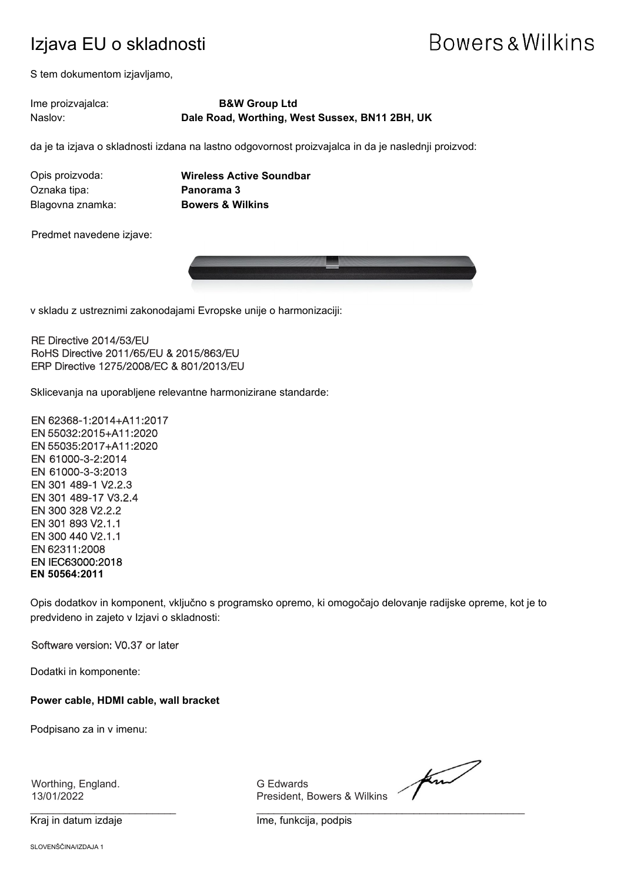### Izjava EU o skladnosti

## Bowers & Wilkins

S tem dokumentom izjavljamo,

#### Ime proizvajalca: **B&W Group Ltd** Naslov: **Dale Road, Worthing, West Sussex, BN11 2BH, UK**

da je ta izjava o skladnosti izdana na lastno odgovornost proizvajalca in da je naslednji proizvod:

| Opis proizvoda:  |  |
|------------------|--|
| Oznaka tipa:     |  |
| Blagovna znamka: |  |

**Wireless Active Soundbar Panorama 3 Bowers & Wilkins** 

Predmet navedene izjave:



v skladu z ustreznimi zakonodajami Evropske unije o harmonizaciji:

#### RE Directive 2014/53/EU RoHS Directive 2011/65/EU & 2015/863/EU ERP Directive 1275/2008/EC & 801/2013/EU

Sklicevanja na uporabljene relevantne harmonizirane standarde:

EN 62368-1:2014+A11:2017 EN 55032:2015+A11:2020 EN 55035:2017+A11:2020 EN 61000-3-2:2014 EN 61000-3-3:2013 EN 301 489-1 V2.2.3 EN 301 489-17 V3.2.4 EN 300 328 V2.2.2 EN 301 893 V2.1.1 EN 300 440 V2.1.1 EN 62311:2008 EN IEC63000:2018 **EN 50564:2011**

Opis dodatkov in komponent, vključno s programsko opremo, ki omogočajo delovanje radijske opreme, kot je to predvideno in zajeto v Izjavi o skladnosti:

#### Software version: V0.37 or later

Dodatki in komponente:

**Power cable, HDMI cable, wall bracket**

Podpisano za in v imenu:

Worthing, England. G Edwards

President, Bowers & Wilkins

for

 $\frac{1}{2}$  , and the set of the set of the set of the set of the set of the set of the set of the set of the set of the set of the set of the set of the set of the set of the set of the set of the set of the set of the set Kraj in datum izdaje **Ime, funkcija, podpis**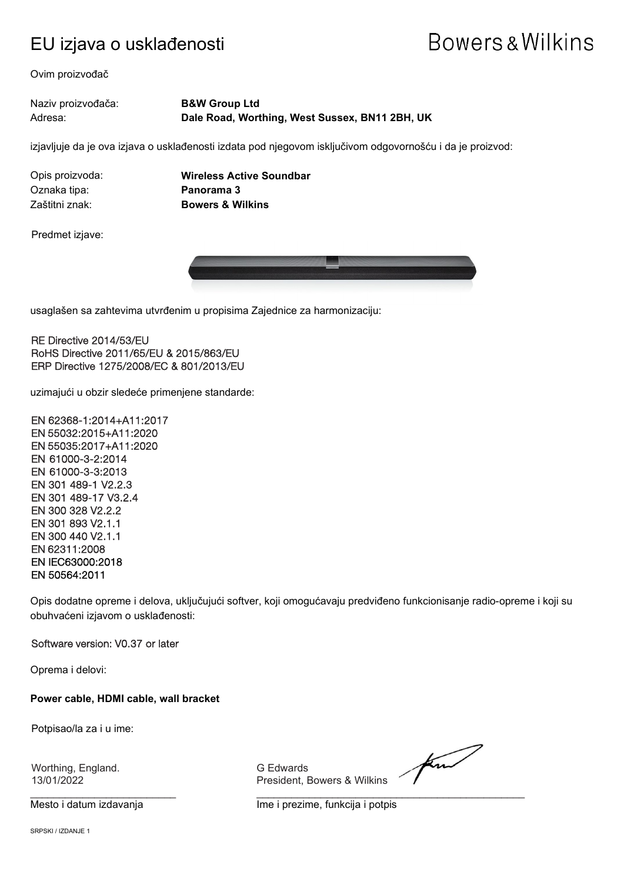### EU izjava o usklađenosti

## Bowers & Wilkins

Ovim proizvođač

#### Naziv proizvođača: **B&W Group Ltd** Adresa: **Dale Road, Worthing, West Sussex, BN11 2BH, UK**

izjavljuje da je ova izjava o usklađenosti izdata pod njegovom isključivom odgovornošću i da je proizvod:

Oznaka tipa: **Panorama 3**

Opis proizvoda: **Wireless Active Soundbar** Zaštitni znak: **Bowers & Wilkins**

Predmet izjave:



usaglašen sa zahtevima utvrđenim u propisima Zajednice za harmonizaciju:

RE Directive 2014/53/EU RoHS Directive 2011/65/EU & 2015/863/EU ERP Directive 1275/2008/EC & 801/2013/EU

uzimajući u obzir sledeće primenjene standarde:

EN 62368-1:2014+A11:2017 EN 55032:2015+A11:2020 EN 55035:2017+A11:2020 EN 61000-3-2:2014 EN 61000-3-3:2013 EN 301 489-1 V2.2.3 EN 301 489-17 V3.2.4 EN 300 328 V2.2.2 EN 301 893 V2.1.1 EN 300 440 V2.1.1 EN 62311:2008 EN IEC63000:2018 EN 50564:2011

Opis dodatne opreme i delova, uključujući softver, koji omogućavaju predviđeno funkcionisanje radio-opreme i koji su obuhvaćeni izjavom o usklađenosti:

Software version: V0.37 or later

Oprema i delovi:

**Power cable, HDMI cable, wall bracket**

Potpisao/la za i u ime:

Worthing, England. G Edwards

President, Bowers & Wilkins

for

\_\_\_\_\_\_\_\_\_\_\_\_\_\_\_\_\_\_\_\_\_\_\_\_\_ \_\_\_\_\_\_\_\_\_\_\_\_\_\_\_\_\_\_\_\_\_\_\_\_\_\_\_\_\_\_\_\_\_\_\_\_\_\_\_\_\_\_\_\_\_\_ Mesto i datum izdavanja Ime i prezime, funkcija i potpis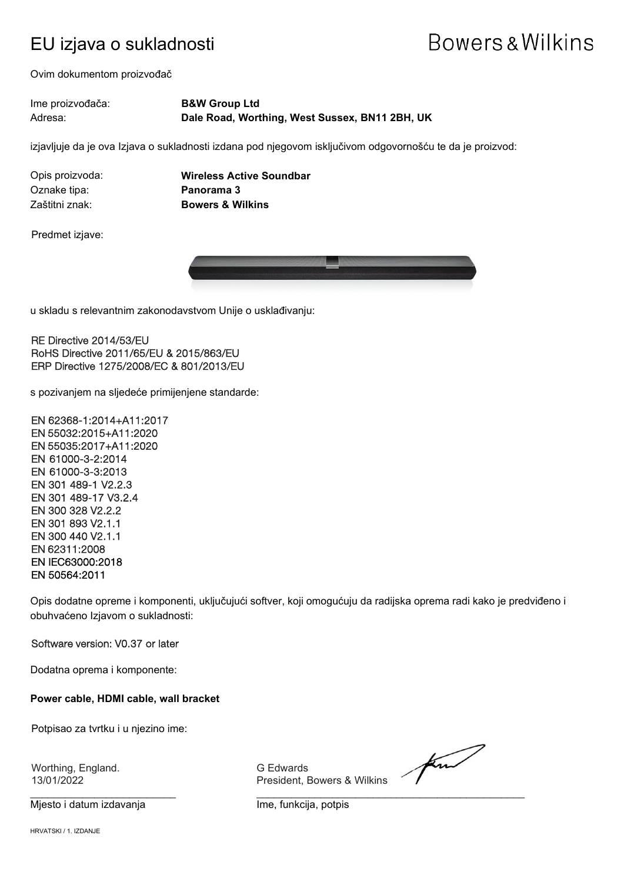### EU izjava o sukladnosti

## Bowers & Wilkins

Ovim dokumentom proizvođač

| Ime proizvođača: | <b>B&amp;W Group Ltd</b>                       |
|------------------|------------------------------------------------|
| Adresa:          | Dale Road, Worthing, West Sussex, BN11 2BH, UK |

izjavljuje da je ova Izjava o sukladnosti izdana pod njegovom isključivom odgovornošću te da je proizvod:

Oznake tipa: **Panorama 3**

Opis proizvoda: **Wireless Active Soundbar** Zaštitni znak: **Bowers & Wilkins**

Predmet izjave:



u skladu s relevantnim zakonodavstvom Unije o usklađivanju:

RE Directive 2014/53/EU RoHS Directive 2011/65/EU & 2015/863/EU ERP Directive 1275/2008/EC & 801/2013/EU

s pozivanjem na sljedeće primijenjene standarde:

EN 62368-1:2014+A11:2017 EN 55032:2015+A11:2020 EN 55035:2017+A11:2020 EN 61000-3-2:2014 EN 61000-3-3:2013 EN 301 489-1 V2.2.3 EN 301 489-17 V3.2.4 EN 300 328 V2.2.2 EN 301 893 V2.1.1 EN 300 440 V2.1.1 EN 62311:2008 EN IEC63000:2018 EN 50564:2011

Opis dodatne opreme i komponenti, uključujući softver, koji omogućuju da radijska oprema radi kako je predviđeno i obuhvaćeno Izjavom o sukladnosti:

#### Software version: V0.37 or later

Dodatna oprema i komponente:

**Power cable, HDMI cable, wall bracket**

Potpisao za tvrtku i u njezino ime:

Worthing, England. G Edwards

Mjesto i datum izdavanja Ime, funkcija, potpis

President, Bowers & Wilkins

for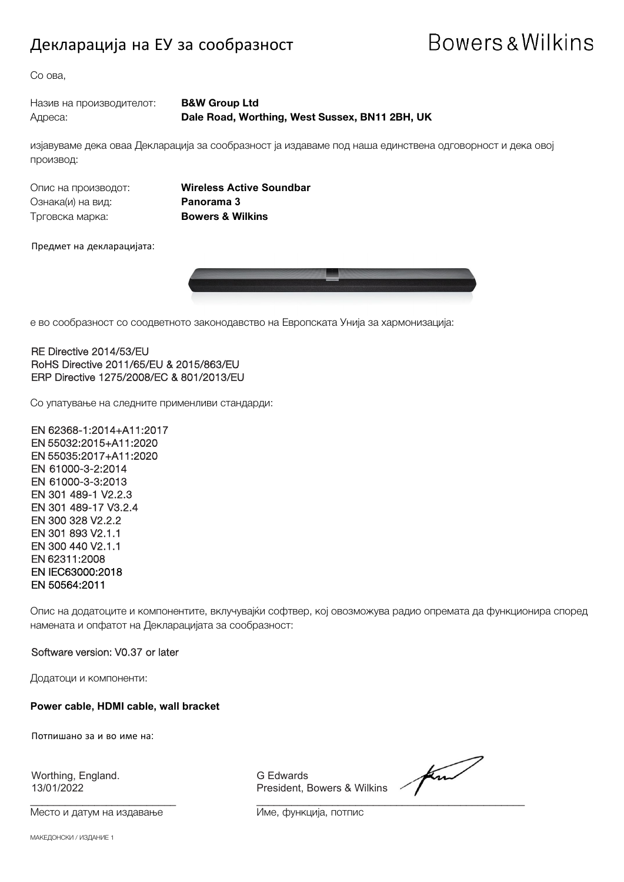### Декларација на ЕУ за сообразност

## Bowers & Wilkins

Со ова,

| Назив на производителот: | <b>B&amp;W Group Ltd</b>                       |
|--------------------------|------------------------------------------------|
| Адреса:                  | Dale Road, Worthing, West Sussex, BN11 2BH, UK |

изјавуваме дека оваа Декларација за сообразност ја издаваме под наша единствена одговорност и дека овој производ:

Ознака(и) на вид: **Panorama 3** Трговска марка: **Bowers & Wilkins**

Опис на производот: **Wireless Active Soundbar**

Предмет на декларацијата:



е во сообразност со соодветното законодавство на Европската Унија за хармонизација:

RE Directive 2014/53/EU RoHS Directive 2011/65/EU & 2015/863/EU ERP Directive 1275/2008/EC & 801/2013/EU

Со упатување на следните применливи стандарди:

EN 62368-1:2014+A11:2017 EN 55032:2015+A11:2020 EN 55035:2017+A11:2020 EN 61000-3-2:2014 EN 61000-3-3:2013 EN 301 489-1 V2.2.3 EN 301 489-17 V3.2.4 EN 300 328 V2.2.2 EN 301 893 V2.1.1 EN 300 440 V2.1.1 EN 62311:2008 EN IEC63000:2018 EN 50564:2011

Опис на додатоците и компонентите, вклучувајќи софтвер, кој овозможува радио опремата да функционира според намената и опфатот на Декларацијата за сообразност:

#### Software version: V0.37 or later

Додатоци и компоненти:

**Power cable, HDMI cable, wall bracket**

Потпишано за и во име на:

Worthing, England.<br>13/01/2022

Место и датум на издавање Име, функција, потпис

13/01/2022 President, Bowers & Wilkins

\_\_\_\_\_\_\_\_\_\_\_\_\_\_\_\_\_\_\_\_\_\_\_\_\_ \_\_\_\_\_\_\_\_\_\_\_\_\_\_\_\_\_\_\_\_\_\_\_\_\_\_\_\_\_\_\_\_\_\_\_\_\_\_\_\_\_\_\_\_\_\_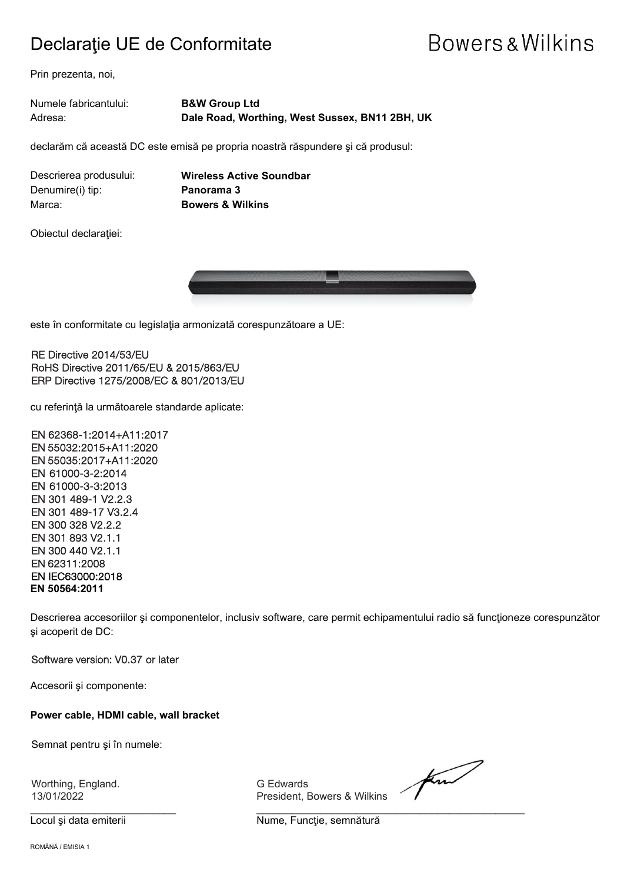### Declaraţie UE de Conformitate

## **Bowers & Wilkins**

Prin prezenta, noi,

| Numele fabricantului: | <b>B&amp;W Group Ltd</b>                       |
|-----------------------|------------------------------------------------|
| Adresa:               | Dale Road, Worthing, West Sussex, BN11 2BH, UK |

declarăm că această DC este emisă pe propria noastră răspundere şi că produsul:

Denumire(i) tip: **Panorama 3** Marca: **Bowers & Wilkins**

Descrierea produsului: **Wireless Active Soundbar**

Obiectul declaraţiei:



este în conformitate cu legislaţia armonizată corespunzătoare a UE:

RE Directive 2014/53/EU RoHS Directive 2011/65/EU & 2015/863/EU ERP Directive 1275/2008/EC & 801/2013/EU

cu referinţă la următoarele standarde aplicate:

EN 62368-1:2014+A11:2017 EN 55032:2015+A11:2020 EN 55035:2017+A11:2020 EN 61000-3-2:2014 EN 61000-3-3:2013 EN 301 489-1 V2.2.3 EN 301 489-17 V3.2.4 EN 300 328 V2.2.2 EN 301 893 V2.1.1 EN 300 440 V2.1.1 EN 62311:2008 EN IEC63000:2018 **EN 50564:2011**

Descrierea accesoriilor şi componentelor, inclusiv software, care permit echipamentului radio să funcţioneze corespunzător şi acoperit de DC:

Software version: V0.37 or later

Accesorii şi componente:

**Power cable, HDMI cable, wall bracket**

Semnat pentru şi în numele:

Worthing, England. G Edwards

13/01/2022 President, Bowers & Wilkins

Locul și data emiterii **Nume, Funcție, semnătură** 

 $\frac{1}{2}$  , and the set of the set of the set of the set of the set of the set of the set of the set of the set of the set of the set of the set of the set of the set of the set of the set of the set of the set of the set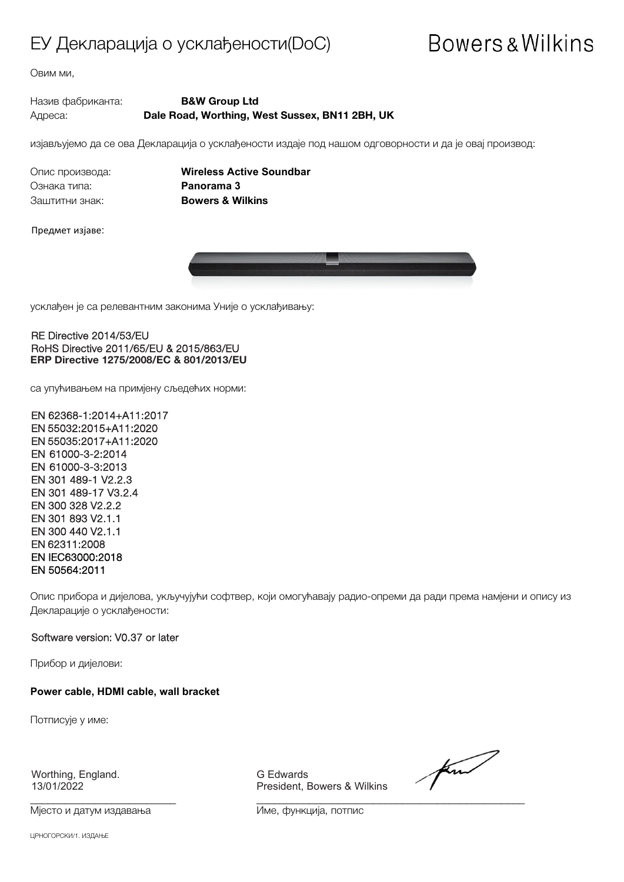### ЕУ Декларација о усклађености(DoC)

## **Bowers & Wilkins**

Овим ми,

#### Назив фабриканта: **B&W Group Ltd** Адреса: **Dale Road, Worthing, West Sussex, BN11 2BH, UK**

изјављујемо да се ова Декларација о усклађености издаје под нашом одговорности и да је овај производ:

Ознака типа: **Panorama 3** Заштитни знак: **Bowers & Wilkins**

Опис производа: **Wireless Active Soundbar**

Предмет изјаве:



усклађен је са релевантним законима Уније о усклађивању:

#### RE Directive 2014/53/EU RoHS Directive 2011/65/EU & 2015/863/EU **ERP Directive 1275/2008/EC & 801/2013/EU**

са упућивањем на примјену сљедећих норми:

EN 62368-1:2014+A11:2017 EN 55032:2015+A11:2020 EN 55035:2017+A11:2020 EN 61000-3-2:2014 EN 61000-3-3:2013 EN 301 489-1 V2.2.3 EN 301 489-17 V3.2.4 EN 300 328 V2.2.2 EN 301 893 V2.1.1 EN 300 440 V2.1.1 EN 62311:2008 EN IEC63000:2018 EN 50564:2011

Опис прибора и дијелова, укључујући софтвер, који омогућавају радио-опреми да ради према намјени и опису из Декларације о усклађености:

#### Software version: V0.37 or later

Прибор и дијелови:

**Power cable, HDMI cable, wall bracket**

Потписује у име:

Worthing, England. G Edwards

Мјесто и датум издавања Име, функција, потпис

President, Bowers & Wilkins

find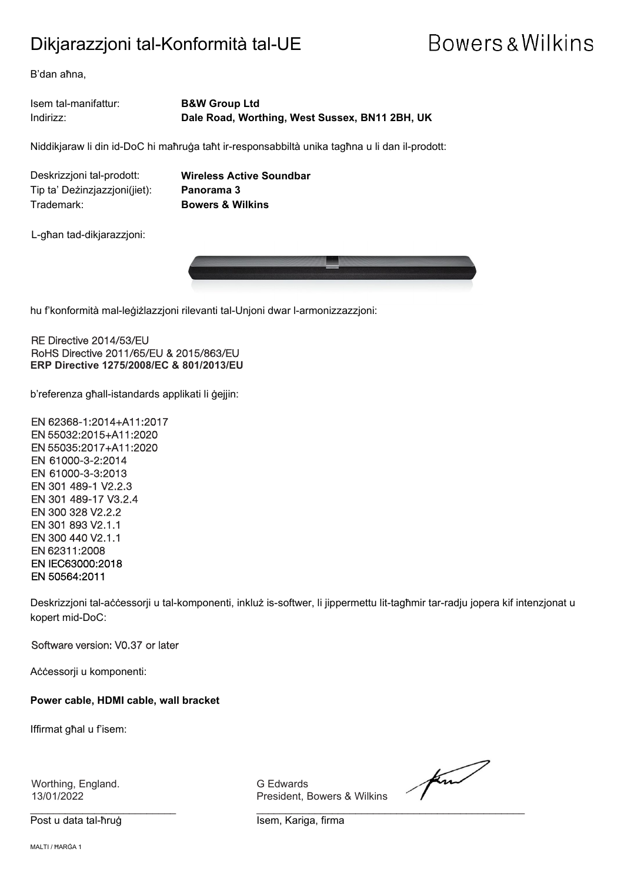### Dikjarazzjoni tal-Konformità tal-UE

## **Bowers & Wilkins**

B'dan aħna,

Isem tal-manifattur: **B&W Group Ltd** Indirizz: **Dale Road, Worthing, West Sussex, BN11 2BH, UK**

Niddikjaraw li din id-DoC hi maħruġa taħt ir-responsabbiltà unika tagħna u li dan il-prodott:

Deskrizzjoni tal-prodott: **Wireless Active Soundbar** Tip ta' Deżinzjazzjoni(jiet): **Panorama 3** Trademark: **Bowers & Wilkins**

L-għan tad-dikjarazzjoni:



 $\overline{a}$ hu f'konformità mal-leġiżlazzjoni rilevanti tal-Unjoni dwar l-armonizzazzjoni:

RE Directive 2014/53/EU RoHS Directive 2011/65/EU & 2015/863/EU **ERP Directive 1275/2008/EC & 801/2013/EU**

b'referenza għall-istandards applikati li ġejjin:

EN 62368-1:2014+A11:2017 EN 55032:2015+A11:2020 EN 55035:2017+A11:2020 EN 61000-3-2:2014 EN 61000-3-3:2013 EN 301 489-1 V2.2.3 EN 301 489-17 V3.2.4 EN 300 328 V2.2.2 EN 301 893 V2.1.1 EN 300 440 V2.1.1 EN 62311:2008 EN IEC63000:2018 EN 50564:2011

Deskrizzjoni tal-aċċessorji u tal-komponenti, inkluż is-softwer, li jippermettu lit-tagħmir tar-radju jopera kif intenzjonat u kopert mid-DoC:

Software version: V0.37 or later

Aċċessorji u komponenti:

**Power cable, HDMI cable, wall bracket**

Iffirmat għal u f'isem:

Worthing, England. G Edwards

Post u data tal-ħruġ Isem, Kariga, firma

President, Bowers & Wilkins

for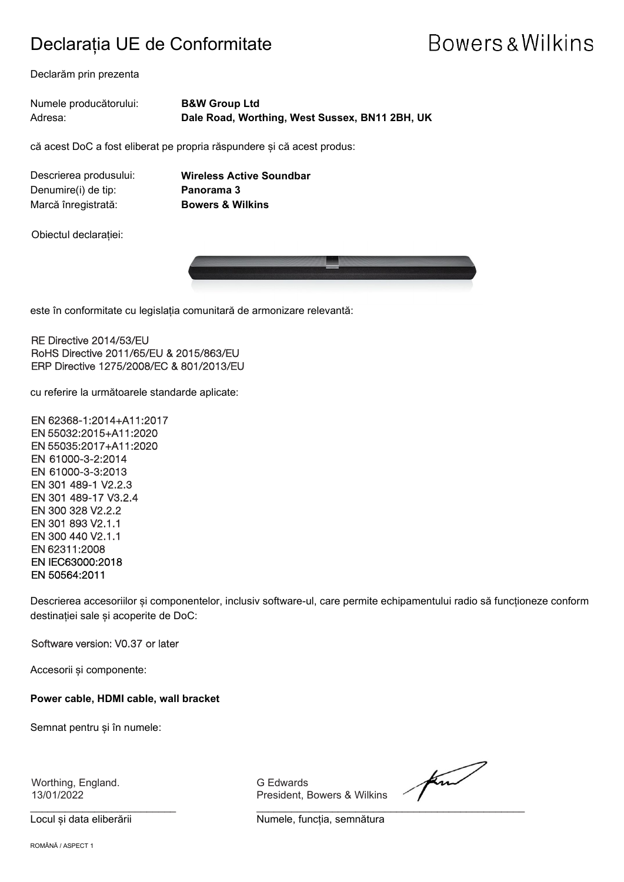### Declarația UE de Conformitate

## **Bowers & Wilkins**

Declarăm prin prezenta

| Numele producătorului: | <b>B&amp;W Group Ltd</b>                       |
|------------------------|------------------------------------------------|
| Adresa:                | Dale Road, Worthing, West Sussex, BN11 2BH, UK |

că acest DoC a fost eliberat pe propria răspundere și că acest produs:

| Descrierea produsului: |  |
|------------------------|--|
| Denumire(i) de tip:    |  |
| Marcă înregistrată:    |  |

**Wireless Active Soundbar Panorama 3 Bowers & Wilkins** 

Obiectul declarației:



este în conformitate cu legislația comunitară de armonizare relevantă:

RE Directive 2014/53/EU RoHS Directive 2011/65/EU & 2015/863/EU ERP Directive 1275/2008/EC & 801/2013/EU

cu referire la următoarele standarde aplicate:

EN 62368-1:2014+A11:2017 EN 55032:2015+A11:2020 EN 55035:2017+A11:2020 EN 61000-3-2:2014 EN 61000-3-3:2013 EN 301 489-1 V2.2.3 EN 301 489-17 V3.2.4 EN 300 328 V2.2.2 EN 301 893 V2.1.1 EN 300 440 V2.1.1 EN 62311:2008 EN IEC63000:2018 EN 50564:2011

Descrierea accesoriilor și componentelor, inclusiv software-ul, care permite echipamentului radio să funcționeze conform destinației sale și acoperite de DoC:

Software version: V0.37 or later

Accesorii și componente:

**Power cable, HDMI cable, wall bracket**

Semnat pentru și în numele:

Worthing, England. G Edwards

13/01/2022 President, Bowers & Wilkins

for

 $\frac{1}{2}$  , and the set of the set of the set of the set of the set of the set of the set of the set of the set of the set of the set of the set of the set of the set of the set of the set of the set of the set of the set Locul și data eliberării **Numele**, funcția, semnătura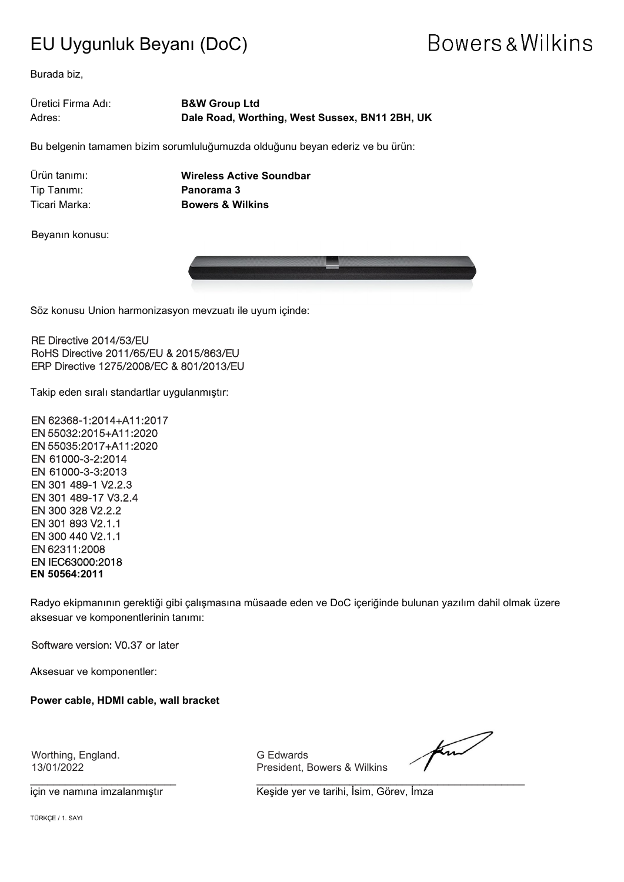### EU Uygunluk Beyanı (DoC)

## Bowers & Wilkins

Burada biz,

#### Üretici Firma Adı: **B&W Group Ltd** Adres: **Dale Road, Worthing, West Sussex, BN11 2BH, UK**

Bu belgenin tamamen bizim sorumluluğumuzda olduğunu beyan ederiz ve bu ürün:

Tip Tanımı: **Panorama 3**

Ürün tanımı: **Wireless Active Soundbar** Ticari Marka: **Bowers & Wilkins**

Beyanın konusu:



 $\overline{a}$ Söz konusu Union harmonizasyon mevzuatı ile uyum içinde:

RE Directive 2014/53/EU RoHS Directive 2011/65/EU & 2015/863/EU ERP Directive 1275/2008/EC & 801/2013/EU

Takip eden sıralı standartlar uygulanmıştır:

EN 62368-1:2014+A11:2017 EN 55032:2015+A11:2020 EN 55035:2017+A11:2020 EN 61000-3-2:2014 EN 61000-3-3:2013 EN 301 489-1 V2.2.3 EN 301 489-17 V3.2.4 EN 300 328 V2.2.2 EN 301 893 V2.1.1 EN 300 440 V2.1.1 EN 62311:2008 EN IEC63000:2018 **EN 50564:2011**

Radyo ekipmanının gerektiği gibi çalışmasına müsaade eden ve DoC içeriğinde bulunan yazılım dahil olmak üzere aksesuar ve komponentlerinin tanımı:

Software version: V0.37 or later

Aksesuar ve komponentler:

**Power cable, HDMI cable, wall bracket**

Worthing, England. G Edwards

13/01/2022 President, Bowers & Wilkins

 $\frac{1}{2}$  , and the set of the set of the set of the set of the set of the set of the set of the set of the set of the set of the set of the set of the set of the set of the set of the set of the set of the set of the set

find

için ve namına imzalanmıştır **Keşide yer ve tarihi, İsim, Görev, İmza**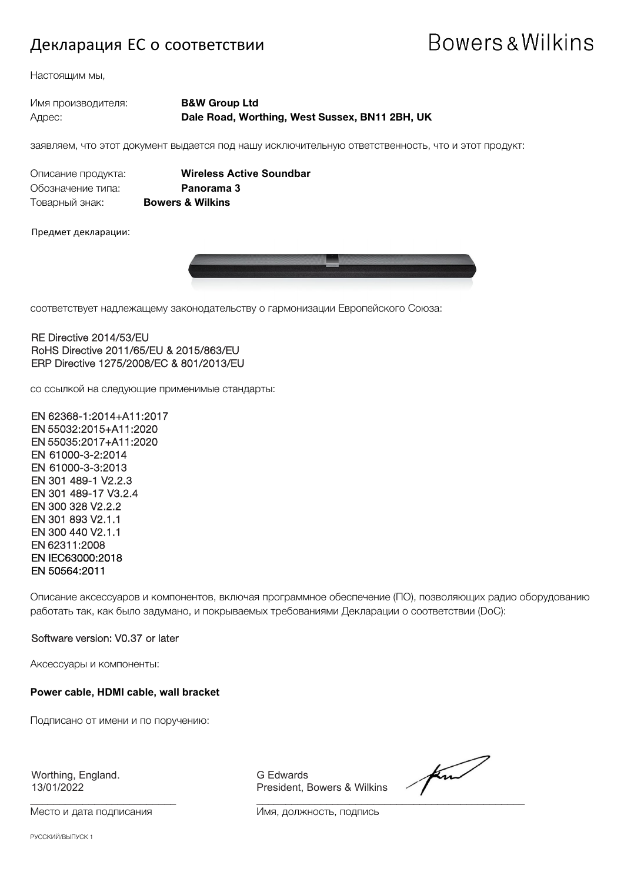#### Декларация ЕС о соответствии

## Bowers & Wilkins

Настоящим мы,

#### Имя производителя: **B&W Group Ltd** Адрес: **Dale Road, Worthing, West Sussex, BN11 2BH, UK**

заявляем, что этот документ выдается под нашу исключительную ответственность, что и этот продукт:

| Описание продукта: |   |
|--------------------|---|
| Обозначение типа:  |   |
| Товарный знак:     | E |

**Wireless Active Soundbar** Panorama 3 Товарный знак: **Bowers & Wilkins**

Предмет декларации:



соответствует надлежащему законодательству о гармонизации Европейского Союза:

#### RE Directive 2014/53/EU RoHS Directive 2011/65/EU & 2015/863/EU ERP Directive 1275/2008/EC & 801/2013/EU

со ссылкой на следующие применимые стандарты:

EN 62368-1:2014+A11:2017 EN 55032:2015+A11:2020 EN 55035:2017+A11:2020 EN 61000-3-2:2014 EN 61000-3-3:2013 EN 301 489-1 V2.2.3 EN 301 489-17 V3.2.4 EN 300 328 V2.2.2 EN 301 893 V2.1.1 EN 300 440 V2.1.1 EN 62311:2008 EN IEC63000:2018 EN 50564:2011

Описание аксессуаров и компонентов, включая программное обеспечение (ПО), позволяющих радио оборудованию работать так, как было задумано, и покрываемых требованиями Декларации о соответствии (DoC):

#### Software version: V0.37 or later

Аксессуары и компоненты:

#### **Power cable, HDMI cable, wall bracket**

Подписано от имени и по поручению:

Worthing, England. G Edwards (G Edwards 13/01/2022 Fresident, E

Место и дата подписания и поставления Имя, должность, подпись

President, Bowers & Wilkins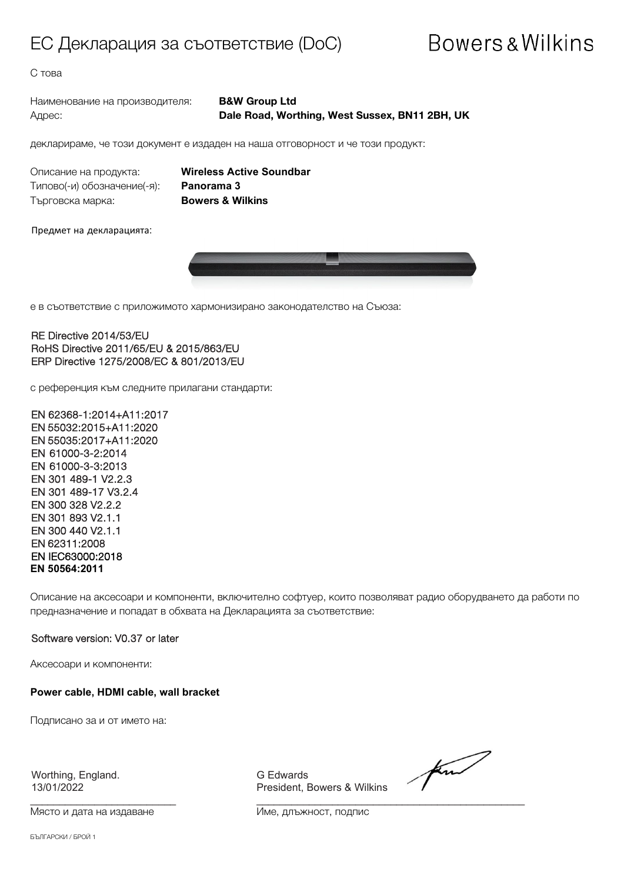#### ЕС Декларация за съответствие (DoC)

## **Bowers & Wilkins**

С това

Наименование на производителя: **B&W Group Ltd**

Адрес: **Dale Road, Worthing, West Sussex, BN11 2BH, UK**

декларираме, че този документ е издаден на наша отговорност и че този продукт:

Описание на продукта: **Wireless Active Soundbar** Типово(-и) обозначение(-я): **Panorama 3** Търговска марка: **Bowers & Wilkins**

Предмет на декларацията:



е в съответствие с приложимото хармонизирано законодателство на Съюза:

RE Directive 2014/53/EU RoHS Directive 2011/65/EU & 2015/863/EU ERP Directive 1275/2008/EC & 801/2013/EU

с референция към следните прилагани стандарти:

EN 62368-1:2014+A11:2017 EN 55032:2015+A11:2020 EN 55035:2017+A11:2020 EN 61000-3-2:2014 EN 61000-3-3:2013 EN 301 489-1 V2.2.3 EN 301 489-17 V3.2.4 EN 300 328 V2.2.2 EN 301 893 V2.1.1 EN 300 440 V2.1.1 EN 62311:2008 EN IEC63000:2018 **EN 50564:2011**

Описание на аксесоари и компоненти, включително софтуер, които позволяват радио оборудването да работи по предназначение и попадат в обхвата на Декларацията за съответствие:

#### Software version: V0.37 or later

Аксесоари и компоненти:

**Power cable, HDMI cable, wall bracket**

Подписано за и от името на:

Worthing, England. G Edwards

Място и дата на издаване Име, длъжност, подпис

13/01/2022 President, Bowers & Wilkins

find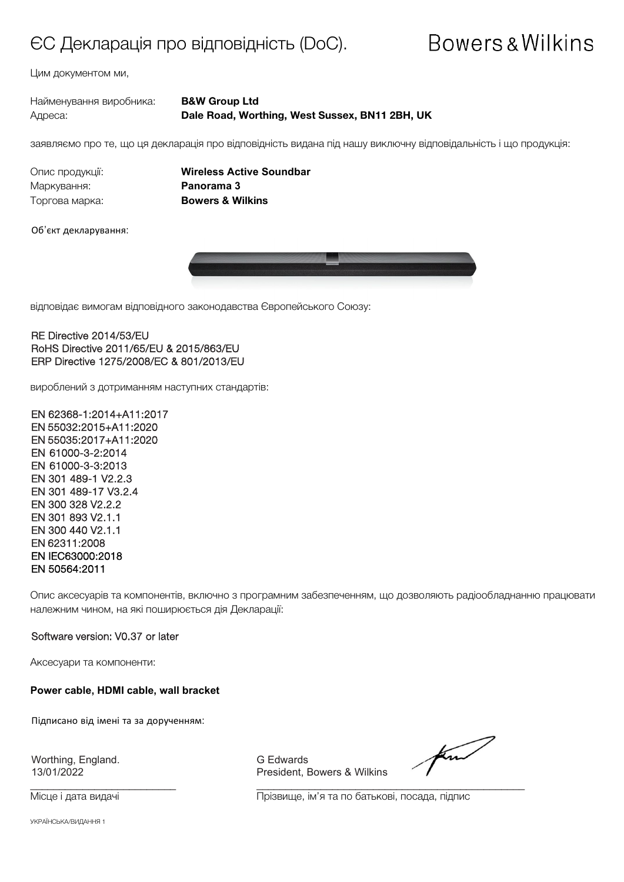### ЄС Декларація про відповідність (DoC).

## **Bowers & Wilkins**

Цим документом ми,

| Найменування виробника: | <b>B&amp;W Group Ltd</b>                       |
|-------------------------|------------------------------------------------|
| Адреса:                 | Dale Road, Worthing, West Sussex, BN11 2BH, UK |

заявляємо про те, що ця декларація про відповідність видана під нашу виключну відповідальність і що продукція:

Маркування: **Panorama 3** Торгова марка: **Bowers & Wilkins**

Опис продукції: **Wireless Active Soundbar**

Об'єкт декларування:



відповідає вимогам відповідного законодавства Європейського Союзу:

RE Directive 2014/53/EU RoHS Directive 2011/65/EU & 2015/863/EU ERP Directive 1275/2008/EC & 801/2013/EU

вироблений з дотриманням наступних стандартів:

EN 62368-1:2014+A11:2017 EN 55032:2015+A11:2020 EN 55035:2017+A11:2020 EN 61000-3-2:2014 EN 61000-3-3:2013 EN 301 489-1 V2.2.3 EN 301 489-17 V3.2.4 EN 300 328 V2.2.2 EN 301 893 V2.1.1 EN 300 440 V2.1.1 EN 62311:2008 EN IEC63000:2018 EN 50564:2011

Опис аксесуарів та компонентів, включно з програмним забезпеченням, що дозволяють радіообладнанню працювати належним чином, на які поширюється дія Декларації:

#### Software version: V0.37 or later

Аксесуари та компоненти:

**Power cable, HDMI cable, wall bracket**

Підписано від імені та за дорученням:

Worthing, England. G Edwards<br>13/01/2022 The President, I

\_\_\_\_\_\_\_\_\_\_\_\_\_\_\_\_\_\_\_\_\_\_\_\_\_ \_\_\_\_\_\_\_\_\_\_\_\_\_\_\_\_\_\_\_\_\_\_\_\_\_\_\_\_\_\_\_\_\_\_\_\_\_\_\_\_\_\_\_\_\_\_

President, Bowers & Wilkins

for

Місце і дата видачі Прізвище, ім'я та по батькові, посада, підпис

УКРАЇНСЬКА/ВИДАННЯ 1